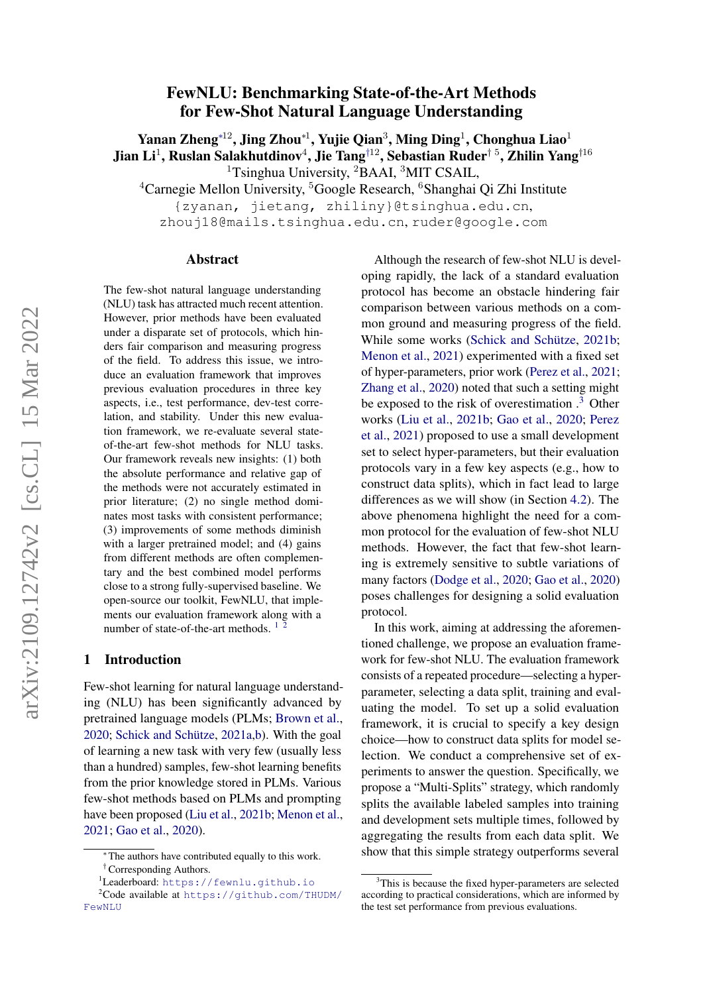# FewNLU: Benchmarking State-of-the-Art Methods for Few-Shot Natural Language Understanding

Yanan Zheng\* $^{12}$ , Jing Zhou\* $^{1}$ , Yujie Qian $^{3}$ , Ming Ding $^{1}$ , Chonghua Liao $^{1}$ Jian Li $^1$ , Ruslan Salakhutdinov $^4$ , Jie Tang $^{\dagger 12}$ , Sebastian Ruder $^{\dagger\: 5}$ , Zhilin Yang $^{\dagger 16}$ <sup>1</sup>Tsinghua University, <sup>2</sup>BAAI, <sup>3</sup>MIT CSAIL,

 ${}^{4}$ Carnegie Mellon University,  ${}^{5}$ Google Research,  ${}^{6}$ Shanghai Qi Zhi Institute

{zyanan, jietang, zhiliny}@tsinghua.edu.cn,

zhouj18@mails.tsinghua.edu.cn, ruder@google.com

#### Abstract

The few-shot natural language understanding (NLU) task has attracted much recent attention. However, prior methods have been evaluated under a disparate set of protocols, which hinders fair comparison and measuring progress of the field. To address this issue, we introduce an evaluation framework that improves previous evaluation procedures in three key aspects, i.e., test performance, dev-test correlation, and stability. Under this new evaluation framework, we re-evaluate several stateof-the-art few-shot methods for NLU tasks. Our framework reveals new insights: (1) both the absolute performance and relative gap of the methods were not accurately estimated in prior literature; (2) no single method dominates most tasks with consistent performance; (3) improvements of some methods diminish with a larger pretrained model; and (4) gains from different methods are often complementary and the best combined model performs close to a strong fully-supervised baseline. We open-source our toolkit, FewNLU, that implements our evaluation framework along with a number of state-of-the-art methods. <sup>[1](#page-0-0)</sup><sup>[2](#page-0-1)</sup>

#### 1 Introduction

Few-shot learning for natural language understanding (NLU) has been significantly advanced by pretrained language models (PLMs; [Brown et al.,](#page-8-0) [2020;](#page-8-0) [Schick and Schütze,](#page-9-0) [2021a](#page-9-0)[,b\)](#page-9-1). With the goal of learning a new task with very few (usually less than a hundred) samples, few-shot learning benefits from the prior knowledge stored in PLMs. Various few-shot methods based on PLMs and prompting have been proposed [\(Liu et al.,](#page-9-2) [2021b;](#page-9-2) [Menon et al.,](#page-9-3) [2021;](#page-9-3) [Gao et al.,](#page-8-1) [2020\)](#page-8-1).

Although the research of few-shot NLU is developing rapidly, the lack of a standard evaluation protocol has become an obstacle hindering fair comparison between various methods on a common ground and measuring progress of the field. While some works [\(Schick and Schütze,](#page-9-1) [2021b;](#page-9-1) [Menon et al.,](#page-9-3) [2021\)](#page-9-3) experimented with a fixed set of hyper-parameters, prior work [\(Perez et al.,](#page-9-4) [2021;](#page-9-4) [Zhang et al.,](#page-9-5) [2020\)](#page-9-5) noted that such a setting might be exposed to the risk of overestimation  $\cdot$ <sup>[3](#page-0-2)</sup> Other works [\(Liu et al.,](#page-9-2) [2021b;](#page-9-2) [Gao et al.,](#page-8-1) [2020;](#page-8-1) [Perez](#page-9-4) [et al.,](#page-9-4) [2021\)](#page-9-4) proposed to use a small development set to select hyper-parameters, but their evaluation protocols vary in a few key aspects (e.g., how to construct data splits), which in fact lead to large differences as we will show (in Section [4.2\)](#page-2-0). The above phenomena highlight the need for a common protocol for the evaluation of few-shot NLU methods. However, the fact that few-shot learning is extremely sensitive to subtle variations of many factors [\(Dodge et al.,](#page-8-2) [2020;](#page-8-2) [Gao et al.,](#page-8-1) [2020\)](#page-8-1) poses challenges for designing a solid evaluation protocol.

In this work, aiming at addressing the aforementioned challenge, we propose an evaluation framework for few-shot NLU. The evaluation framework consists of a repeated procedure—selecting a hyperparameter, selecting a data split, training and evaluating the model. To set up a solid evaluation framework, it is crucial to specify a key design choice—how to construct data splits for model selection. We conduct a comprehensive set of experiments to answer the question. Specifically, we propose a "Multi-Splits" strategy, which randomly splits the available labeled samples into training and development sets multiple times, followed by aggregating the results from each data split. We show that this simple strategy outperforms several

<sup>∗</sup> The authors have contributed equally to this work. †Corresponding Authors.

<span id="page-0-1"></span><span id="page-0-0"></span><sup>1</sup>Leaderboard: <https://fewnlu.github.io>

 $2^2$ Code available at [https://github.com/THUDM/](https://github.com/THUDM/FewNLU) [FewNLU](https://github.com/THUDM/FewNLU)

<span id="page-0-2"></span><sup>&</sup>lt;sup>3</sup>This is because the fixed hyper-parameters are selected according to practical considerations, which are informed by the test set performance from previous evaluations.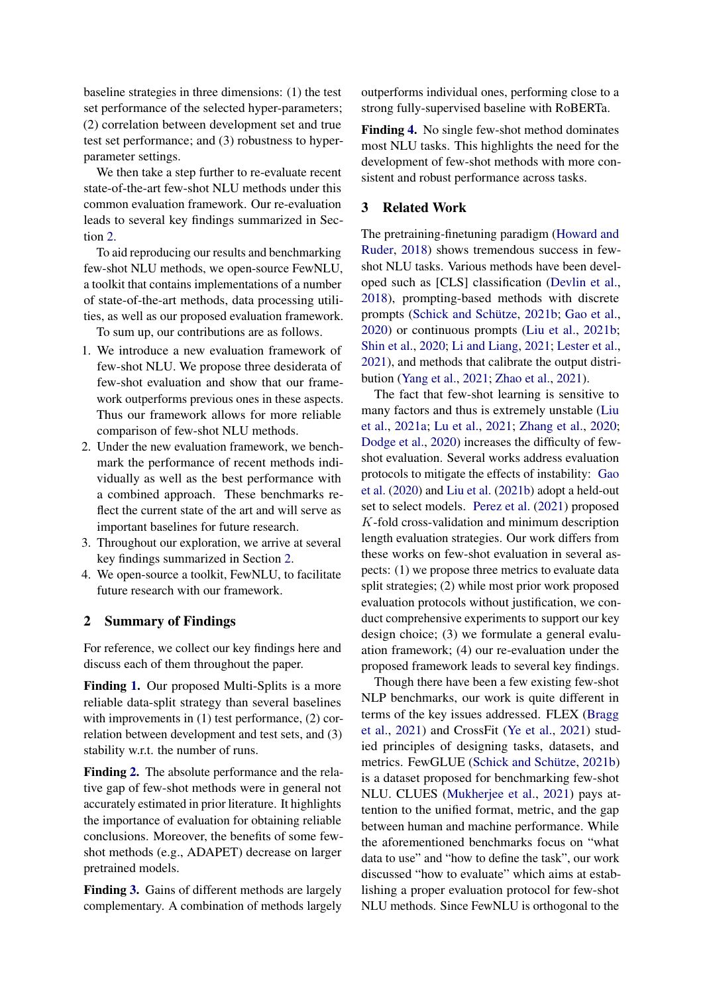baseline strategies in three dimensions: (1) the test set performance of the selected hyper-parameters; (2) correlation between development set and true test set performance; and (3) robustness to hyperparameter settings.

We then take a step further to re-evaluate recent state-of-the-art few-shot NLU methods under this common evaluation framework. Our re-evaluation leads to several key findings summarized in Section [2.](#page-1-0)

To aid reproducing our results and benchmarking few-shot NLU methods, we open-source FewNLU, a toolkit that contains implementations of a number of state-of-the-art methods, data processing utilities, as well as our proposed evaluation framework.

To sum up, our contributions are as follows.

- 1. We introduce a new evaluation framework of few-shot NLU. We propose three desiderata of few-shot evaluation and show that our framework outperforms previous ones in these aspects. Thus our framework allows for more reliable comparison of few-shot NLU methods.
- 2. Under the new evaluation framework, we benchmark the performance of recent methods individually as well as the best performance with a combined approach. These benchmarks reflect the current state of the art and will serve as important baselines for future research.
- 3. Throughout our exploration, we arrive at several key findings summarized in Section [2.](#page-1-0)
- 4. We open-source a toolkit, FewNLU, to facilitate future research with our framework.

### <span id="page-1-0"></span>2 Summary of Findings

For reference, we collect our key findings here and discuss each of them throughout the paper.

Finding [1.](#page-5-0) Our proposed Multi-Splits is a more reliable data-split strategy than several baselines with improvements in (1) test performance, (2) correlation between development and test sets, and (3) stability w.r.t. the number of runs.

Finding [2.](#page-7-0) The absolute performance and the relative gap of few-shot methods were in general not accurately estimated in prior literature. It highlights the importance of evaluation for obtaining reliable conclusions. Moreover, the benefits of some fewshot methods (e.g., ADAPET) decrease on larger pretrained models.

Finding [3.](#page-7-1) Gains of different methods are largely complementary. A combination of methods largely outperforms individual ones, performing close to a strong fully-supervised baseline with RoBERTa.

Finding [4.](#page-7-2) No single few-shot method dominates most NLU tasks. This highlights the need for the development of few-shot methods with more consistent and robust performance across tasks.

#### 3 Related Work

The pretraining-finetuning paradigm [\(Howard and](#page-8-3) [Ruder,](#page-8-3) [2018\)](#page-8-3) shows tremendous success in fewshot NLU tasks. Various methods have been developed such as [CLS] classification [\(Devlin et al.,](#page-8-4) [2018\)](#page-8-4), prompting-based methods with discrete prompts [\(Schick and Schütze,](#page-9-1) [2021b;](#page-9-1) [Gao et al.,](#page-8-1) [2020\)](#page-8-1) or continuous prompts [\(Liu et al.,](#page-9-2) [2021b;](#page-9-2) [Shin et al.,](#page-9-6) [2020;](#page-9-6) [Li and Liang,](#page-9-7) [2021;](#page-9-7) [Lester et al.,](#page-9-8) [2021\)](#page-9-8), and methods that calibrate the output distribution [\(Yang et al.,](#page-9-9) [2021;](#page-9-9) [Zhao et al.,](#page-9-10) [2021\)](#page-9-10).

The fact that few-shot learning is sensitive to many factors and thus is extremely unstable [\(Liu](#page-9-11) [et al.,](#page-9-11) [2021a;](#page-9-11) [Lu et al.,](#page-9-12) [2021;](#page-9-12) [Zhang et al.,](#page-9-5) [2020;](#page-9-5) [Dodge et al.,](#page-8-2) [2020\)](#page-8-2) increases the difficulty of fewshot evaluation. Several works address evaluation protocols to mitigate the effects of instability: [Gao](#page-8-1) [et al.](#page-8-1) [\(2020\)](#page-8-1) and [Liu et al.](#page-9-2) [\(2021b\)](#page-9-2) adopt a held-out set to select models. [Perez et al.](#page-9-4) [\(2021\)](#page-9-4) proposed K-fold cross-validation and minimum description length evaluation strategies. Our work differs from these works on few-shot evaluation in several aspects: (1) we propose three metrics to evaluate data split strategies; (2) while most prior work proposed evaluation protocols without justification, we conduct comprehensive experiments to support our key design choice; (3) we formulate a general evaluation framework; (4) our re-evaluation under the proposed framework leads to several key findings.

Though there have been a few existing few-shot NLP benchmarks, our work is quite different in terms of the key issues addressed. FLEX [\(Bragg](#page-8-5) [et al.,](#page-8-5) [2021\)](#page-8-5) and CrossFit [\(Ye et al.,](#page-9-13) [2021\)](#page-9-13) studied principles of designing tasks, datasets, and metrics. FewGLUE [\(Schick and Schütze,](#page-9-1) [2021b\)](#page-9-1) is a dataset proposed for benchmarking few-shot NLU. CLUES [\(Mukherjee et al.,](#page-9-14) [2021\)](#page-9-14) pays attention to the unified format, metric, and the gap between human and machine performance. While the aforementioned benchmarks focus on "what data to use" and "how to define the task", our work discussed "how to evaluate" which aims at establishing a proper evaluation protocol for few-shot NLU methods. Since FewNLU is orthogonal to the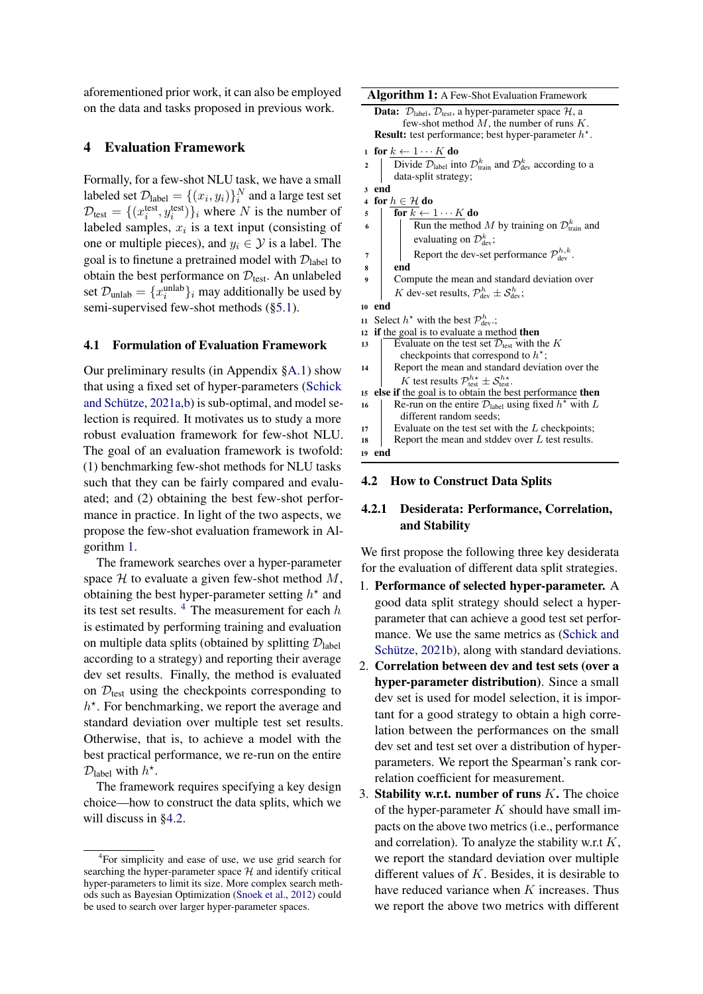aforementioned prior work, it can also be employed on the data and tasks proposed in previous work.

## 4 Evaluation Framework

Formally, for a few-shot NLU task, we have a small labeled set  $\mathcal{D}_{\text{label}} = \{(x_i, y_i)\}_i^N$  and a large test set  $\mathcal{D}_{\text{test}} = \{(x_i^{\text{test}}, y_i^{\text{test}})\}_i$  where N is the number of labeled samples,  $x_i$  is a text input (consisting of one or multiple pieces), and  $y_i \in \mathcal{Y}$  is a label. The goal is to finetune a pretrained model with  $\mathcal{D}_{\text{label}}$  to obtain the best performance on  $\mathcal{D}_{\text{test}}$ . An unlabeled set  $\mathcal{D}_{\text{unlab}} = \{x_i^{\text{unlab}}\}_i$  may additionally be used by semi-supervised few-shot methods ([§5.1\)](#page-5-1).

#### <span id="page-2-3"></span>4.1 Formulation of Evaluation Framework

Our preliminary results (in Appendix [§A.1\)](#page-10-0) show that using a fixed set of hyper-parameters [\(Schick](#page-9-0) [and Schütze,](#page-9-0) [2021a](#page-9-0)[,b\)](#page-9-1) is sub-optimal, and model selection is required. It motivates us to study a more robust evaluation framework for few-shot NLU. The goal of an evaluation framework is twofold: (1) benchmarking few-shot methods for NLU tasks such that they can be fairly compared and evaluated; and (2) obtaining the best few-shot performance in practice. In light of the two aspects, we propose the few-shot evaluation framework in Algorithm [1.](#page-2-1)

The framework searches over a hyper-parameter space  $H$  to evaluate a given few-shot method  $M$ , obtaining the best hyper-parameter setting  $h^*$  and its test set results.  $4$  The measurement for each h is estimated by performing training and evaluation on multiple data splits (obtained by splitting  $\mathcal{D}_{\text{label}}$ according to a strategy) and reporting their average dev set results. Finally, the method is evaluated on  $\mathcal{D}_{\text{test}}$  using the checkpoints corresponding to  $h^*$ . For benchmarking, we report the average and standard deviation over multiple test set results. Otherwise, that is, to achieve a model with the best practical performance, we re-run on the entire  $\mathcal{D}_{\text{label}}$  with  $h^*$ .

The framework requires specifying a key design choice—how to construct the data splits, which we will discuss in [§4.2.](#page-2-0)

Algorithm 1: A Few-Shot Evaluation Framework

```
Data: \mathcal{D}_{\text{label}}, \mathcal{D}_{\text{test}}, a hyper-parameter space \mathcal{H}, a
             few-shot method M, the number of runs K.
    Result: test performance; best hyper-parameter h^*.
1 for k \leftarrow 1 \cdots K do
2 | Divide \mathcal{D}_{\text{label}} into \mathcal{D}_{\text{train}}^k and \mathcal{D}_{\text{dev}}^k according to a
          data-split strategy;
3 end
```

```
4 for h \in \mathcal{H} do
```

```
5 \overline{\text{for }k} \leftarrow 1 \cdots K \text{ do}
```

```
6 | Run the method M by training on \mathcal{D}_{\text{train}}^k and
                 evaluating on \mathcal{D}^k_{\text{dev}};
```
7 Report the dev-set performance  $\mathcal{P}_{dev}^{h,k}$ .

```
8 end
```
Compute the mean and standard deviation over K dev-set results,  $\mathcal{P}_{\text{dev}}^h \pm \mathcal{S}_{\text{dev}}^h$ ;

```
10 end
```
- 11 Select  $h^*$  with the best  $\mathcal{P}_{dev}^h$ .; 12 if the goal is to evaluate a method then
- 13 Evaluate on the test set  $\mathcal{D}_{\text{test}}$  with the K checkpoints that correspond to  $h^*$ ; 14 Report the mean and standard deviation over the K test results  $\mathcal{P}_{\text{test}}^{h\star} \pm \mathcal{S}_{\text{test}}^{h\star}$ . <sup>15</sup> else if the goal is to obtain the best performance then 16 | Re-run on the entire  $\mathcal{D}_{\text{label}}$  using fixed  $h^*$  with L different random seeds;  $17$  Evaluate on the test set with the L checkpoints; 18 Report the mean and stddev over  $L$  test results.

#### 4.2 How to Construct Data Splits

### 4.2.1 Desiderata: Performance, Correlation, and Stability

We first propose the following three key desiderata for the evaluation of different data split strategies.

- 1. Performance of selected hyper-parameter. A good data split strategy should select a hyperparameter that can achieve a good test set performance. We use the same metrics as [\(Schick and](#page-9-1) [Schütze,](#page-9-1) [2021b\)](#page-9-1), along with standard deviations.
- 2. Correlation between dev and test sets (over a hyper-parameter distribution). Since a small dev set is used for model selection, it is important for a good strategy to obtain a high correlation between the performances on the small dev set and test set over a distribution of hyperparameters. We report the Spearman's rank correlation coefficient for measurement.
- 3. Stability w.r.t. number of runs  $K$ . The choice of the hyper-parameter  $K$  should have small impacts on the above two metrics (i.e., performance and correlation). To analyze the stability w.r.t  $K$ , we report the standard deviation over multiple different values of  $K$ . Besides, it is desirable to have reduced variance when  $K$  increases. Thus we report the above two metrics with different

<span id="page-2-2"></span><span id="page-2-0"></span><sup>&</sup>lt;sup>4</sup>For simplicity and ease of use, we use grid search for searching the hyper-parameter space  $H$  and identify critical hyper-parameters to limit its size. More complex search methods such as Bayesian Optimization [\(Snoek et al.,](#page-9-15) [2012\)](#page-9-15) could be used to search over larger hyper-parameter spaces.

<sup>19</sup> end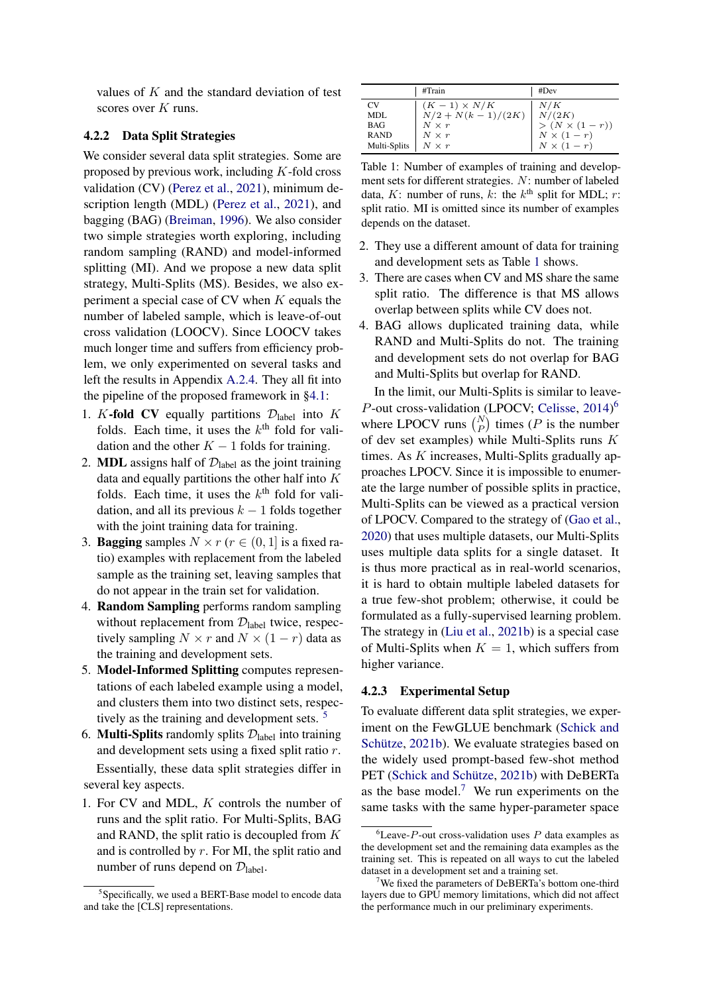values of  $K$  and the standard deviation of test scores over K runs.

### 4.2.2 Data Split Strategies

We consider several data split strategies. Some are proposed by previous work, including  $K$ -fold cross validation (CV) [\(Perez et al.,](#page-9-4) [2021\)](#page-9-4), minimum description length (MDL) [\(Perez et al.,](#page-9-4) [2021\)](#page-9-4), and bagging (BAG) [\(Breiman,](#page-8-6) [1996\)](#page-8-6). We also consider two simple strategies worth exploring, including random sampling (RAND) and model-informed splitting (MI). And we propose a new data split strategy, Multi-Splits (MS). Besides, we also experiment a special case of CV when  $K$  equals the number of labeled sample, which is leave-of-out cross validation (LOOCV). Since LOOCV takes much longer time and suffers from efficiency problem, we only experimented on several tasks and left the results in Appendix [A.2.4.](#page-10-1) They all fit into the pipeline of the proposed framework in [§4.1:](#page-2-3)

- 1. K-fold CV equally partitions  $\mathcal{D}_{\text{label}}$  into K folds. Each time, it uses the  $k<sup>th</sup>$  fold for validation and the other  $K - 1$  folds for training.
- 2. **MDL** assigns half of  $\mathcal{D}_{\text{label}}$  as the joint training data and equally partitions the other half into  $K$ folds. Each time, it uses the  $k<sup>th</sup>$  fold for validation, and all its previous  $k - 1$  folds together with the joint training data for training.
- 3. **Bagging** samples  $N \times r$  ( $r \in (0, 1]$  is a fixed ratio) examples with replacement from the labeled sample as the training set, leaving samples that do not appear in the train set for validation.
- 4. Random Sampling performs random sampling without replacement from  $\mathcal{D}_{\text{label}}$  twice, respectively sampling  $N \times r$  and  $N \times (1 - r)$  data as the training and development sets.
- 5. Model-Informed Splitting computes representations of each labeled example using a model, and clusters them into two distinct sets, respec-tively as the training and development sets.<sup>[5](#page-3-0)</sup>
- 6. **Multi-Splits** randomly splits  $\mathcal{D}_{\text{label}}$  into training and development sets using a fixed split ratio r. Essentially, these data split strategies differ in several key aspects.
- 1. For CV and MDL, K controls the number of runs and the split ratio. For Multi-Splits, BAG and RAND, the split ratio is decoupled from K and is controlled by  $r$ . For MI, the split ratio and number of runs depend on  $\mathcal{D}_{\text{label}}$ .

<span id="page-3-1"></span>

|              | #Train              | #Dev                |
|--------------|---------------------|---------------------|
| CV           | $(K-1) \times N/K$  | N/K                 |
| MDL          | $N/2 + N(k-1)/(2K)$ | N/(2K)              |
| <b>BAG</b>   | $N \times r$        | $>(N \times (1-r))$ |
| <b>RAND</b>  | $N \times r$        | $N \times (1-r)$    |
| Multi-Splits | $N \times r$        | $N \times (1-r)$    |

Table 1: Number of examples of training and development sets for different strategies. N: number of labeled data,  $K$ : number of runs,  $k$ : the  $k^{\text{th}}$  split for MDL;  $r$ : split ratio. MI is omitted since its number of examples depends on the dataset.

- 2. They use a different amount of data for training and development sets as Table [1](#page-3-1) shows.
- 3. There are cases when CV and MS share the same split ratio. The difference is that MS allows overlap between splits while CV does not.
- 4. BAG allows duplicated training data, while RAND and Multi-Splits do not. The training and development sets do not overlap for BAG and Multi-Splits but overlap for RAND.

In the limit, our Multi-Splits is similar to leave-P-out cross-validation (LPOCV; [Celisse,](#page-8-7) [2014\)](#page-8-7)<sup>[6](#page-3-2)</sup> where LPOCV runs  $\binom{N}{P}$  times (*P* is the number of dev set examples) while Multi-Splits runs K times. As K increases, Multi-Splits gradually approaches LPOCV. Since it is impossible to enumerate the large number of possible splits in practice, Multi-Splits can be viewed as a practical version of LPOCV. Compared to the strategy of [\(Gao et al.,](#page-8-1) [2020\)](#page-8-1) that uses multiple datasets, our Multi-Splits uses multiple data splits for a single dataset. It is thus more practical as in real-world scenarios, it is hard to obtain multiple labeled datasets for a true few-shot problem; otherwise, it could be formulated as a fully-supervised learning problem. The strategy in [\(Liu et al.,](#page-9-2) [2021b\)](#page-9-2) is a special case of Multi-Splits when  $K = 1$ , which suffers from higher variance.

#### <span id="page-3-4"></span>4.2.3 Experimental Setup

To evaluate different data split strategies, we experiment on the FewGLUE benchmark [\(Schick and](#page-9-1) [Schütze,](#page-9-1) [2021b\)](#page-9-1). We evaluate strategies based on the widely used prompt-based few-shot method PET [\(Schick and Schütze,](#page-9-1) [2021b\)](#page-9-1) with DeBERTa as the base model.<sup>[7](#page-3-3)</sup> We run experiments on the same tasks with the same hyper-parameter space

<span id="page-3-0"></span><sup>&</sup>lt;sup>5</sup>Specifically, we used a BERT-Base model to encode data and take the [CLS] representations.

<span id="page-3-2"></span> ${}^{6}$ Leave-P-out cross-validation uses P data examples as the development set and the remaining data examples as the training set. This is repeated on all ways to cut the labeled dataset in a development set and a training set.

<span id="page-3-3"></span><sup>&</sup>lt;sup>7</sup>We fixed the parameters of DeBERTa's bottom one-third layers due to GPU memory limitations, which did not affect the performance much in our preliminary experiments.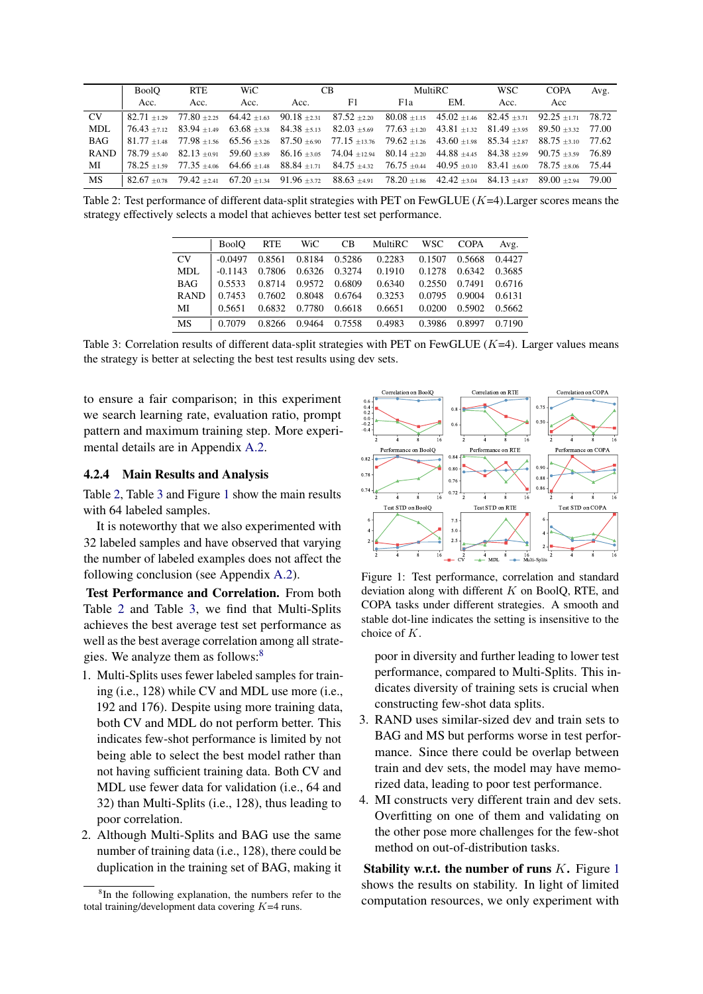<span id="page-4-0"></span>

|             | <b>BoolO</b> | <b>RTE</b> | WiC  |      | CB.                                                                                                                                                       | MultiRC          |     | <b>WSC</b> | <b>COPA</b> | Avg.   |
|-------------|--------------|------------|------|------|-----------------------------------------------------------------------------------------------------------------------------------------------------------|------------------|-----|------------|-------------|--------|
|             | Acc.         | Acc.       | Acc. | Acc. | F1                                                                                                                                                        | F <sub>1</sub> a | EM. | Acc.       | Acc         |        |
| CV.         |              |            |      |      | $82.71 \pm 1.29$ $77.80 \pm 2.25$ $64.42 \pm 1.63$ $90.18 \pm 2.31$ $87.52 \pm 2.20$ $80.08 \pm 1.15$ $45.02 \pm 1.46$ $82.45 \pm 3.71$ $92.25 \pm 1.71$  |                  |     |            |             | 78.72  |
| MDL         |              |            |      |      | $76.43 \pm 1.12$ $83.94 \pm 1.49$ $63.68 \pm 3.38$ $84.38 \pm 5.13$ $82.03 \pm 5.69$ $77.63 \pm 1.20$ $43.81 \pm 1.32$ $81.49 \pm 3.95$ $89.50 \pm 3.32$  |                  |     |            |             | 77.00  |
| <b>BAG</b>  |              |            |      |      | $81.77 \pm 1.48$ $77.98 \pm 1.56$ $65.56 \pm 3.26$ $87.50 \pm 6.90$ $77.15 \pm 13.76$ $79.62 \pm 1.26$ $43.60 \pm 1.98$ $85.34 \pm 2.87$ $88.75 \pm 3.10$ |                  |     |            |             | -77.62 |
| <b>RAND</b> |              |            |      |      | $78.79 \pm 5.40$ $82.13 \pm 0.91$ $59.60 \pm 3.89$ $86.16 \pm 3.05$ $74.04 \pm 12.94$ $80.14 \pm 2.20$ $44.88 \pm 4.45$ $84.38 \pm 2.99$ $90.75 \pm 3.59$ |                  |     |            |             | 76.89  |
| МI          |              |            |      |      | $78.25 + 1.59$ $77.35 + 4.06$ $64.66 + 1.48$ $88.84 + 1.71$ $84.75 + 4.32$ $76.75 + 0.44$ $40.95 + 0.10$ $83.41 + 6.00$ $78.75 + 8.06$ $75.44$            |                  |     |            |             |        |
| <b>MS</b>   |              |            |      |      | $82.67 + 0.78$ $79.42 + 2.41$ $67.20 + 1.34$ $91.96 + 3.72$ $88.63 + 4.91$ $78.20 + 1.86$ $42.42 + 3.04$ $84.13 + 4.87$ $89.00 + 2.94$ $79.00$            |                  |     |            |             |        |

<span id="page-4-1"></span>Table 2: Test performance of different data-split strategies with PET on FewGLUE  $(K=4)$ . Larger scores means the strategy effectively selects a model that achieves better test set performance.

|             | <b>BoolO</b> | <b>RTE</b> |                      |        | WiC CB MultiRC | WSC           | <b>COPA</b> | Avg.   |
|-------------|--------------|------------|----------------------|--------|----------------|---------------|-------------|--------|
| CV          | $-0.0497$    | 0.8561     | 0.8184 0.5286        |        | 0.2283         | 0.1507        | 0.5668      | 0.4427 |
| MDL         | $-0.1143$    |            | 0.7806 0.6326 0.3274 |        | 0.1910         | 0.1278        | 0.6342      | 0.3685 |
| <b>BAG</b>  | 0.5533       |            | 0.8714 0.9572 0.6809 |        | 0.6340         | 0.2550        | 0.7491      | 0.6716 |
| <b>RAND</b> | 0.7453       |            | 0.7602 0.8048 0.6764 |        | 0.3253         | 0.0795        | 0.9004      | 0.6131 |
| МI          | 0.5651       |            | 0.6832 0.7780        | 0.6618 | 0.6651         | 0.0200        | 0.5902      | 0.5662 |
| <b>MS</b>   | 0.7079       |            | 0.8266 0.9464 0.7558 |        | 0.4983         | 0.3986 0.8997 |             | 0.7190 |

Table 3: Correlation results of different data-split strategies with PET on FewGLUE  $(K=4)$ . Larger values means the strategy is better at selecting the best test results using dev sets.

to ensure a fair comparison; in this experiment we search learning rate, evaluation ratio, prompt pattern and maximum training step. More experimental details are in Appendix [A.2.](#page-10-2)

### <span id="page-4-4"></span>4.2.4 Main Results and Analysis

Table [2,](#page-4-0) Table [3](#page-4-1) and Figure [1](#page-4-2) show the main results with 64 labeled samples.

It is noteworthy that we also experimented with 32 labeled samples and have observed that varying the number of labeled examples does not affect the following conclusion (see Appendix [A.2\)](#page-10-2).

Test Performance and Correlation. From both Table [2](#page-4-0) and Table [3,](#page-4-1) we find that Multi-Splits achieves the best average test set performance as well as the best average correlation among all strate-gies. We analyze them as follows:<sup>[8](#page-4-3)</sup>

- 1. Multi-Splits uses fewer labeled samples for training (i.e., 128) while CV and MDL use more (i.e., 192 and 176). Despite using more training data, both CV and MDL do not perform better. This indicates few-shot performance is limited by not being able to select the best model rather than not having sufficient training data. Both CV and MDL use fewer data for validation (i.e., 64 and 32) than Multi-Splits (i.e., 128), thus leading to poor correlation.
- 2. Although Multi-Splits and BAG use the same number of training data (i.e., 128), there could be duplication in the training set of BAG, making it

<span id="page-4-2"></span>

Figure 1: Test performance, correlation and standard deviation along with different  $K$  on BoolQ, RTE, and COPA tasks under different strategies. A smooth and stable dot-line indicates the setting is insensitive to the choice of K.

poor in diversity and further leading to lower test performance, compared to Multi-Splits. This indicates diversity of training sets is crucial when constructing few-shot data splits.

- 3. RAND uses similar-sized dev and train sets to BAG and MS but performs worse in test performance. Since there could be overlap between train and dev sets, the model may have memorized data, leading to poor test performance.
- 4. MI constructs very different train and dev sets. Overfitting on one of them and validating on the other pose more challenges for the few-shot method on out-of-distribution tasks.

Stability w.r.t. the number of runs  $K$ . Figure [1](#page-4-2) shows the results on stability. In light of limited computation resources, we only experiment with

<span id="page-4-3"></span><sup>&</sup>lt;sup>8</sup>In the following explanation, the numbers refer to the total training/development data covering  $K=4$  runs.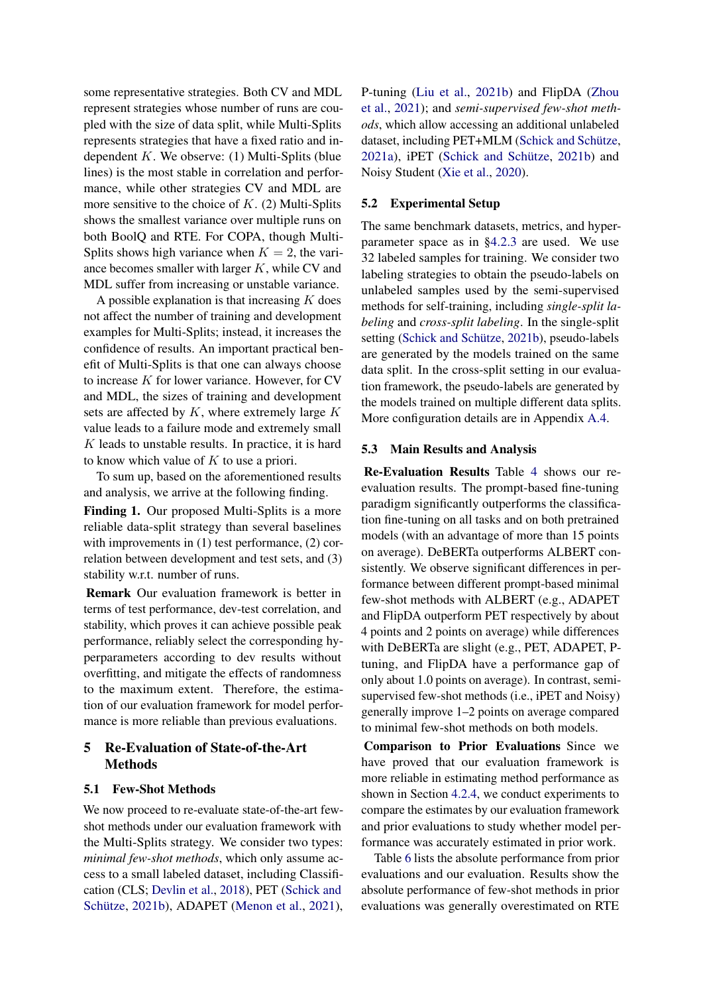some representative strategies. Both CV and MDL represent strategies whose number of runs are coupled with the size of data split, while Multi-Splits represents strategies that have a fixed ratio and independent  $K$ . We observe: (1) Multi-Splits (blue lines) is the most stable in correlation and performance, while other strategies CV and MDL are more sensitive to the choice of  $K$ . (2) Multi-Splits shows the smallest variance over multiple runs on both BoolQ and RTE. For COPA, though Multi-Splits shows high variance when  $K = 2$ , the variance becomes smaller with larger  $K$ , while CV and MDL suffer from increasing or unstable variance.

A possible explanation is that increasing  $K$  does not affect the number of training and development examples for Multi-Splits; instead, it increases the confidence of results. An important practical benefit of Multi-Splits is that one can always choose to increase  $K$  for lower variance. However, for  $CV$ and MDL, the sizes of training and development sets are affected by  $K$ , where extremely large  $K$ value leads to a failure mode and extremely small  $K$  leads to unstable results. In practice, it is hard to know which value of  $K$  to use a priori.

To sum up, based on the aforementioned results and analysis, we arrive at the following finding.

<span id="page-5-0"></span>Finding 1. Our proposed Multi-Splits is a more reliable data-split strategy than several baselines with improvements in (1) test performance, (2) correlation between development and test sets, and (3) stability w.r.t. number of runs.

Remark Our evaluation framework is better in terms of test performance, dev-test correlation, and stability, which proves it can achieve possible peak performance, reliably select the corresponding hyperparameters according to dev results without overfitting, and mitigate the effects of randomness to the maximum extent. Therefore, the estimation of our evaluation framework for model performance is more reliable than previous evaluations.

## <span id="page-5-3"></span>5 Re-Evaluation of State-of-the-Art Methods

### <span id="page-5-1"></span>5.1 Few-Shot Methods

We now proceed to re-evaluate state-of-the-art fewshot methods under our evaluation framework with the Multi-Splits strategy. We consider two types: *minimal few-shot methods*, which only assume access to a small labeled dataset, including Classification (CLS; [Devlin et al.,](#page-8-4) [2018\)](#page-8-4), PET [\(Schick and](#page-9-1) [Schütze,](#page-9-1) [2021b\)](#page-9-1), ADAPET [\(Menon et al.,](#page-9-3) [2021\)](#page-9-3), P-tuning [\(Liu et al.,](#page-9-2) [2021b\)](#page-9-2) and FlipDA [\(Zhou](#page-9-16) [et al.,](#page-9-16) [2021\)](#page-9-16); and *semi-supervised few-shot methods*, which allow accessing an additional unlabeled dataset, including PET+MLM [\(Schick and Schütze,](#page-9-0) [2021a\)](#page-9-0), iPET [\(Schick and Schütze,](#page-9-1) [2021b\)](#page-9-1) and Noisy Student [\(Xie et al.,](#page-9-17) [2020\)](#page-9-17).

#### <span id="page-5-2"></span>5.2 Experimental Setup

The same benchmark datasets, metrics, and hyperparameter space as in [§4.2.3](#page-3-4) are used. We use 32 labeled samples for training. We consider two labeling strategies to obtain the pseudo-labels on unlabeled samples used by the semi-supervised methods for self-training, including *single-split labeling* and *cross-split labeling*. In the single-split setting [\(Schick and Schütze,](#page-9-1) [2021b\)](#page-9-1), pseudo-labels are generated by the models trained on the same data split. In the cross-split setting in our evaluation framework, the pseudo-labels are generated by the models trained on multiple different data splits. More configuration details are in Appendix [A.4.](#page-11-0)

#### 5.3 Main Results and Analysis

Re-Evaluation Results Table [4](#page-6-0) shows our reevaluation results. The prompt-based fine-tuning paradigm significantly outperforms the classification fine-tuning on all tasks and on both pretrained models (with an advantage of more than 15 points on average). DeBERTa outperforms ALBERT consistently. We observe significant differences in performance between different prompt-based minimal few-shot methods with ALBERT (e.g., ADAPET and FlipDA outperform PET respectively by about 4 points and 2 points on average) while differences with DeBERTa are slight (e.g., PET, ADAPET, Ptuning, and FlipDA have a performance gap of only about 1.0 points on average). In contrast, semisupervised few-shot methods (i.e., iPET and Noisy) generally improve 1–2 points on average compared to minimal few-shot methods on both models.

Comparison to Prior Evaluations Since we have proved that our evaluation framework is more reliable in estimating method performance as shown in Section [4.2.4,](#page-4-4) we conduct experiments to compare the estimates by our evaluation framework and prior evaluations to study whether model performance was accurately estimated in prior work.

Table [6](#page-7-3) lists the absolute performance from prior evaluations and our evaluation. Results show the absolute performance of few-shot methods in prior evaluations was generally overestimated on RTE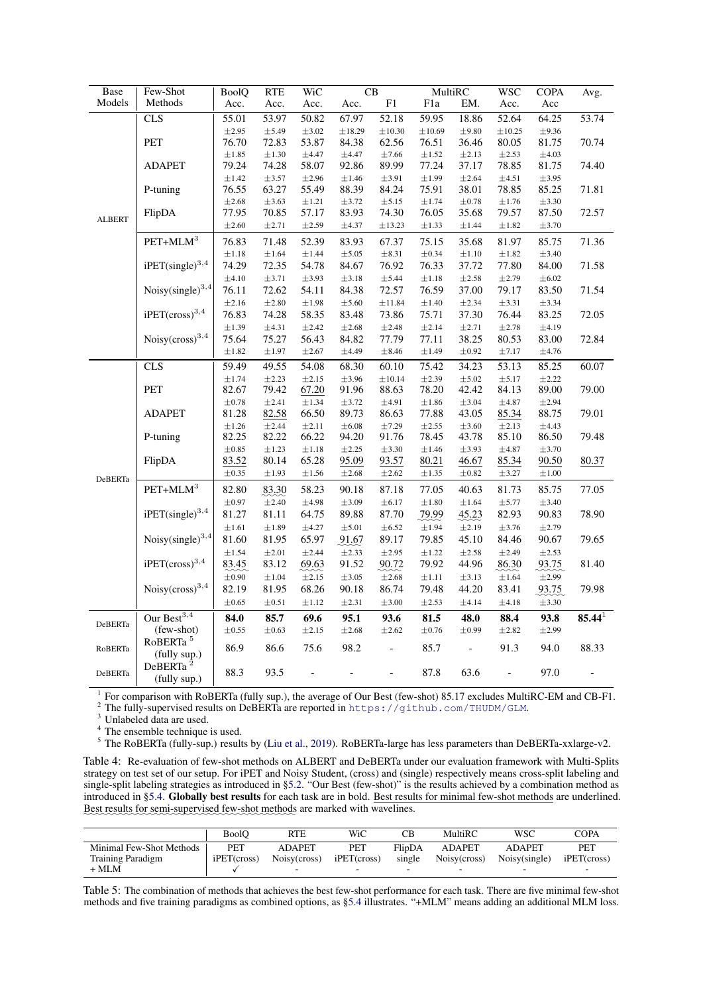<span id="page-6-0"></span>

| Base          | Few-Shot                             | <b>BoolQ</b>        | <b>RTE</b>          | WiC                 |                     | $\operatorname{CB}$ | MultiRC             |                     | <b>WSC</b>          | <b>COPA</b>         | Avg.        |
|---------------|--------------------------------------|---------------------|---------------------|---------------------|---------------------|---------------------|---------------------|---------------------|---------------------|---------------------|-------------|
| Models        | Methods                              | Acc.                | Acc.                | Acc.                | Acc.                | ${\rm F}1$          | F1a                 | EM.                 | Acc.                | Acc                 |             |
|               | CLS                                  | 55.01               | 53.97               | 50.82               | 67.97               | 52.18               | 59.95               | 18.86               | 52.64               | 64.25               | 53.74       |
|               |                                      | $\pm 2.95$          | $\pm$ 5.49          | $\pm 3.02$          | ±18.29              | $\pm 10.30$         | $\pm 10.69$         | $\pm$ 9.80          | ±10.25              | $\pm$ 9.36          |             |
|               | PET                                  | 76.70               | 72.83               | 53.87               | 84.38               | 62.56               | 76.51               | 36.46               | 80.05               | 81.75               | 70.74       |
|               |                                      | $\pm 1.85$          | $\pm 1.30$          | $\pm 4.47$          | $\pm 4.47$          | $\pm 7.66$          | $\pm 1.52$          | $\pm 2.13$          | $\pm 2.53$          | $\pm 4.03$          |             |
|               | <b>ADAPET</b>                        | 79.24               | 74.28               | 58.07               | 92.86               | 89.99               | 77.24               | 37.17               | 78.85               | 81.75               | 74.40       |
|               |                                      | $\pm 1.42$          | $\pm$ 3.57          | $\pm 2.96$          | $\pm 1.46$          | $\pm 3.91$          | $\pm 1.99$          | $\pm 2.64$          | $\pm 4.51$          | $\pm$ 3.95          |             |
|               | P-tuning                             | 76.55               | 63.27               | 55.49               | 88.39               | 84.24               | 75.91               | 38.01               | 78.85               | 85.25               | 71.81       |
|               |                                      | $\pm 2.68$          | $\pm 3.63$          | $\pm 1.21$          | $\pm 3.72$          | $\pm$ 5.15          | $\pm 1.74$          | $\pm 0.78$          | $\pm 1.76$          | $\pm 3.30$          |             |
| <b>ALBERT</b> | FlipDA                               | 77.95               | 70.85               | 57.17               | 83.93               | 74.30               | 76.05               | 35.68               | 79.57               | 87.50               | 72.57       |
|               |                                      | $\pm 2.60$          | $\pm 2.71$          | $\pm 2.59$          | $\pm 4.37$          | ±13.23              | $\pm 1.33$          | $\pm 1.44$          | $\pm 1.82$          | $\pm$ 3.70          |             |
|               | $\mathrm{PET}\text{+MLM}^3$          | 76.83               | 71.48               | 52.39               | 83.93               | 67.37               | 75.15               | 35.68               | 81.97               | 85.75               | 71.36       |
|               |                                      | $\pm 1.18$          | $\pm 1.64$          | $\pm 1.44$          | $\pm$ 5.05          | $\pm 8.31$          | $\pm 0.34$          | $\pm 1.10$          | $\pm 1.82$          | $\pm 3.40$          |             |
|               | $i$ PET(single) <sup>3,4</sup>       | 74.29               | 72.35               | 54.78               | 84.67               | 76.92               | 76.33               | 37.72               | 77.80               | 84.00               | 71.58       |
|               |                                      | $\pm 4.10$          | $\pm 3.71$          | $\pm 3.93$          | $\pm 3.18$          | $\pm 5.44$          | $\pm 1.18$          | $\pm 2.58$          | $\pm 2.79$          | $\pm 6.02$          |             |
|               | Noisy $(single)^{3,4}$               | 76.11               | 72.62               | 54.11               | 84.38               | 72.57               | 76.59               | 37.00               | 79.17               | 83.50               | 71.54       |
|               |                                      | $\pm 2.16$          | $\pm 2.80$          | $\pm 1.98$          | $\pm$ 5.60          | ±11.84              | $\pm 1.40$          | $\pm 2.34$          | $\pm 3.31$          | $\pm$ 3.34          |             |
|               | ${\rm iPET (cross)}^{3,4}$           | 76.83               | 74.28               | 58.35               | 83.48               | 73.86               | 75.71               | 37.30               | 76.44               | 83.25               | 72.05       |
|               |                                      | $\pm 1.39$          | $\pm 4.31$          | $\pm 2.42$          | $\pm 2.68$          | $\pm 2.48$          | $\pm 2.14$          | $\pm 2.71$          | $\pm 2.78$          | $\pm 4.19$          |             |
|               | Noisy $(cross)^{3,4}$                | 75.64               | 75.27               | 56.43               | 84.82               | 77.79               | 77.11               | 38.25               | 80.53               | 83.00               | 72.84       |
|               |                                      | $\pm 1.82$          | $\pm 1.97$          | $\pm 2.67$          | $\pm 4.49$          | $\pm 8.46$          | $\pm 1.49$          | $\pm 0.92$          | $\pm 7.17$          | $\pm 4.76$          |             |
|               | CLS                                  | 59.49               | 49.55               | 54.08               | 68.30               | 60.10               | 75.42               | 34.23               | 53.13               | 85.25               | 60.07       |
|               |                                      | $\pm 1.74$          | $\pm 2.23$          | $\pm 2.15$          | $\pm$ 3.96          | ±10.14              | $\pm 2.39$          | $\pm$ 5.02          | $\pm$ 5.17          | $\pm 2.22$          |             |
|               | PET                                  | 82.67               | 79.42               | 67.20               | 91.96               | 88.63               | 78.20               | 42.42               | 84.13               | 89.00               | 79.00       |
|               |                                      | $\pm 0.78$          | $\pm 2.41$          | $\pm 1.34$          | $\pm$ 3.72          | $\pm 4.91$          | $\pm 1.86$          | $\pm$ 3.04          | $\pm 4.87$          | $\pm 2.94$          |             |
|               | <b>ADAPET</b>                        | 81.28               | 82.58               | 66.50               | 89.73               | 86.63               | 77.88               | 43.05               | 85.34               | 88.75               | 79.01       |
|               |                                      | $\pm 1.26$          | $\pm 2.44$          | $\pm 2.11$          | $\pm 6.08$          | $\pm 7.29$          | $\pm 2.55$          | $\pm 3.60$          | $\pm 2.13$          | ±4.43               |             |
|               | P-tuning                             | 82.25               | 82.22               | 66.22               | 94.20               | 91.76               | 78.45               | 43.78               | 85.10               | 86.50               | 79.48       |
|               | FlipDA                               | $\pm 0.85$<br>83.52 | $\pm 1.23$<br>80.14 | $\pm 1.18$<br>65.28 | $\pm 2.25$<br>95.09 | $\pm 3.30$<br>93.57 | $\pm 1.46$<br>80.21 | $\pm$ 3.93<br>46.67 | $\pm 4.87$<br>85.34 | $\pm 3.70$<br>90.50 | 80.37       |
|               |                                      | $\pm 0.35$          | $\pm 1.93$          | $\pm 1.56$          | $\pm 2.68$          | $\pm 2.62$          | $\pm 1.35$          | $\pm 0.82$          | $\pm$ 3.27          | $\pm 1.00$          |             |
| DeBERTa       |                                      |                     |                     |                     |                     |                     |                     |                     |                     |                     |             |
|               | $\mathrm{PET}\text{+MLM}^3$          | 82.80               | 83.30               | 58.23               | 90.18               | 87.18               | 77.05               | 40.63               | 81.73               | 85.75               | 77.05       |
|               |                                      | $\pm 0.97$          | $\pm 2.40$          | $\pm 4.98$          | $\pm 3.09$          | $\pm 6.17$          | $\pm 1.80$          | $\pm 1.64$          | $\pm$ 5.77          | $\pm$ 3.40          |             |
|               | $i$ PET(single) <sup>3,4</sup>       | 81.27               | 81.11               | 64.75               | 89.88               | 87.70               | 79.99               | 45.23               | 82.93               | 90.83               | 78.90       |
|               |                                      | $\pm 1.61$          | $\pm 1.89$          | $\pm 4.27$          | $\pm 5.01$          | $\pm 6.52$          | $\pm 1.94$          | $\pm 2.19$          | $\pm 3.76$          | $\pm 2.79$          |             |
|               | Noisy $(single)^{3,4}$               | 81.60               | 81.95               | 65.97               | 91.67               | 89.17               | 79.85               | 45.10               | 84.46               | 90.67               | 79.65       |
|               |                                      | $\pm 1.54$          | $\pm 2.01$          | $\pm 2.44$          | $\pm 2.33$          | $\pm 2.95$          | $\pm 1.22$          | $\pm 2.58$          | $\pm 2.49$          | $\pm 2.53$          |             |
|               | $i$ PET(cross) <sup>3,4</sup>        | 83.45               | 83.12               | 69.63               | 91.52               | 90.72               | 79.92               | 44.96               | 86.30               | 93.75               | 81.40       |
|               |                                      | $\pm 0.90$          | $\pm 1.04$          | $\pm 2.15$          | $\pm3.05$           | $\pm 2.68$          | $\pm 1.11$          | $\pm$ 3.13          | $\pm 1.64$          | $\pm 2.99$          |             |
|               | Noisy $(cross)^{3,4}$                | 82.19               | 81.95               | 68.26               | 90.18               | 86.74               | 79.48               | 44.20               | 83.41               | 93.75               | 79.98       |
|               |                                      | $\pm 0.65$          | $\pm 0.51$          | $\pm 1.12$          | $\pm 2.31$          | $\pm3.00$           | $\pm 2.53$          | $\pm 4.14$          | $\pm 4.18$          | $\pm$ 3.30          |             |
|               | Our Best <sup>3,4</sup>              | 84.0                | 85.7                | 69.6                | 95.1                | 93.6                | 81.5                | 48.0                | 88.4                | 93.8                | $85.44^{1}$ |
| DeBERTa       | (few-shot)                           | $\pm 0.55$          | $\pm 0.63$          | $\pm 2.15$          | $\pm 2.68$          | $\pm 2.62$          | $\pm 0.76$          | $\pm 0.99$          | $\pm 2.82$          | $\pm 2.99$          |             |
| RoBERTa       | RoBERTa <sup>5</sup><br>(fully sup.) | 86.9                | 86.6                | 75.6                | 98.2                |                     | 85.7                |                     | 91.3                | 94.0                | 88.33       |
| DeBERTa       | DeBERTa <sup>2</sup><br>(fully sup.) | 88.3                | 93.5                |                     |                     |                     | 87.8                | 63.6                |                     | 97.0                |             |

1 For comparison with RoBERTa (fully sup.), the average of Our Best (few-shot) 85.17 excludes MultiRC-EM and CB-F1.

<sup>2</sup> The fully-supervised results on DeBERTa are reported in <https://github.com/THUDM/GLM>.

 $3$  Unlabeled data are used.

<sup>4</sup> The ensemble technique is used.

<sup>5</sup> The RoBERTa (fully-sup.) results by [\(Liu et al.,](#page-9-18) [2019\)](#page-9-18). RoBERTa-large has less parameters than DeBERTa-xxlarge-v2.

Table 4: Re-evaluation of few-shot methods on ALBERT and DeBERTa under our evaluation framework with Multi-Splits strategy on test set of our setup. For iPET and Noisy Student, (cross) and (single) respectively means cross-split labeling and single-split labeling strategies as introduced in [§5.2.](#page-5-2) "Our Best (few-shot)" is the results achieved by a combination method as introduced in [§5.4.](#page-7-4) Globally best results for each task are in bold. Best results for minimal few-shot methods are underlined. Best results for semi-supervised few-shot methods are marked with wavelines.

<span id="page-6-1"></span>

|                          | <b>BoolO</b> | RTE           | WiC               | CВ     | MultiRC       | wsc           | <b>COPA</b>       |
|--------------------------|--------------|---------------|-------------------|--------|---------------|---------------|-------------------|
| Minimal Few-Shot Methods | PET          | <b>ADAPET</b> | PET               | FlipDA | <b>ADAPET</b> | <b>ADAPET</b> | PET               |
| <b>Training Paradigm</b> | iPET(cross)  | Noisy(cross)  | $i$ PET $(cross)$ | single | Noisy(cross)  | Noisy(single) | $i$ PET $(cross)$ |
| $+$ MLM                  |              |               | $\sim$            |        |               |               |                   |

Table 5: The combination of methods that achieves the best few-shot performance for each task. There are five minimal few-shot methods and five training paradigms as combined options, as [§5.4](#page-7-4) illustrates. "+MLM" means adding an additional MLM loss.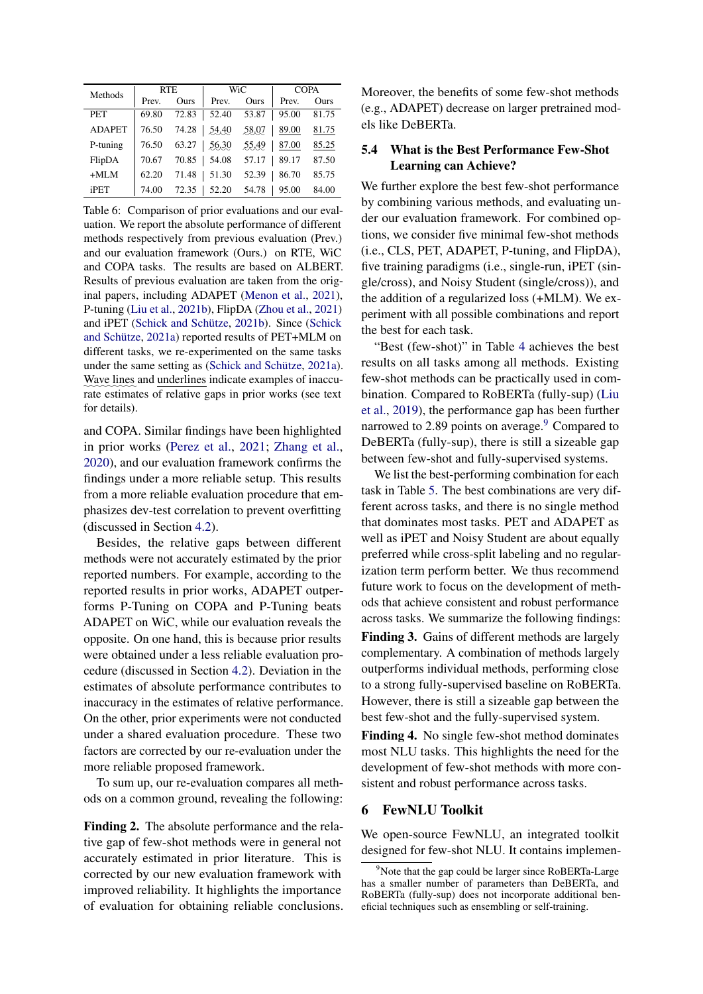<span id="page-7-3"></span>

| Methods       | <b>RTE</b> |       |                 | <b>WiC</b>  |       | <b>COPA</b> |
|---------------|------------|-------|-----------------|-------------|-------|-------------|
|               | Prev.      | Ours  | Prev.           | <b>Ours</b> | Prev. | Ours        |
| <b>PET</b>    | 69.80      | 72.83 | 52.40           | 53.87       | 95.00 | 81.75       |
| <b>ADAPET</b> | 76.50      |       | 74.28 54.40     | 58.07       | 89.00 | 81.75       |
| P-tuning      | 76.50      |       | $63.27$   56.30 | 55.49       | 87.00 | 85.25       |
| FlipDA        | 70.67      | 70.85 | 54.08           | 57.17       | 89.17 | 87.50       |
| $+MI.M$       | 62.20      | 71.48 | 51.30           | 52.39       | 86.70 | 85.75       |
| iPET          | 74.00      | 72.35 | 52.20           | 54.78       | 95.00 | 84.00       |

Table 6: Comparison of prior evaluations and our evaluation. We report the absolute performance of different methods respectively from previous evaluation (Prev.) and our evaluation framework (Ours.) on RTE, WiC and COPA tasks. The results are based on ALBERT. Results of previous evaluation are taken from the original papers, including ADAPET [\(Menon et al.,](#page-9-3) [2021\)](#page-9-3), P-tuning [\(Liu et al.,](#page-9-2) [2021b\)](#page-9-2), FlipDA [\(Zhou et al.,](#page-9-16) [2021\)](#page-9-16) and iPET [\(Schick and Schütze,](#page-9-1) [2021b\)](#page-9-1). Since [\(Schick](#page-9-0) [and Schütze,](#page-9-0) [2021a\)](#page-9-0) reported results of PET+MLM on different tasks, we re-experimented on the same tasks under the same setting as [\(Schick and Schütze,](#page-9-0) [2021a\)](#page-9-0). Wave lines and underlines indicate examples of inaccurate estimates of relative gaps in prior works (see text for details).

and COPA. Similar findings have been highlighted in prior works [\(Perez et al.,](#page-9-4) [2021;](#page-9-4) [Zhang et al.,](#page-9-5) [2020\)](#page-9-5), and our evaluation framework confirms the findings under a more reliable setup. This results from a more reliable evaluation procedure that emphasizes dev-test correlation to prevent overfitting (discussed in Section [4.2\)](#page-2-0).

Besides, the relative gaps between different methods were not accurately estimated by the prior reported numbers. For example, according to the reported results in prior works, ADAPET outperforms P-Tuning on COPA and P-Tuning beats ADAPET on WiC, while our evaluation reveals the opposite. On one hand, this is because prior results were obtained under a less reliable evaluation procedure (discussed in Section [4.2\)](#page-2-0). Deviation in the estimates of absolute performance contributes to inaccuracy in the estimates of relative performance. On the other, prior experiments were not conducted under a shared evaluation procedure. These two factors are corrected by our re-evaluation under the more reliable proposed framework.

To sum up, our re-evaluation compares all methods on a common ground, revealing the following:

<span id="page-7-0"></span>Finding 2. The absolute performance and the relative gap of few-shot methods were in general not accurately estimated in prior literature. This is corrected by our new evaluation framework with improved reliability. It highlights the importance of evaluation for obtaining reliable conclusions. Moreover, the benefits of some few-shot methods (e.g., ADAPET) decrease on larger pretrained models like DeBERTa.

### <span id="page-7-4"></span>5.4 What is the Best Performance Few-Shot Learning can Achieve?

We further explore the best few-shot performance by combining various methods, and evaluating under our evaluation framework. For combined options, we consider five minimal few-shot methods (i.e., CLS, PET, ADAPET, P-tuning, and FlipDA), five training paradigms (i.e., single-run, iPET (single/cross), and Noisy Student (single/cross)), and the addition of a regularized loss (+MLM). We experiment with all possible combinations and report the best for each task.

"Best (few-shot)" in Table [4](#page-6-0) achieves the best results on all tasks among all methods. Existing few-shot methods can be practically used in combination. Compared to RoBERTa (fully-sup) [\(Liu](#page-9-18) [et al.,](#page-9-18) [2019\)](#page-9-18), the performance gap has been further narrowed to 2.8[9](#page-7-5) points on average. $9$  Compared to DeBERTa (fully-sup), there is still a sizeable gap between few-shot and fully-supervised systems.

We list the best-performing combination for each task in Table [5.](#page-6-1) The best combinations are very different across tasks, and there is no single method that dominates most tasks. PET and ADAPET as well as iPET and Noisy Student are about equally preferred while cross-split labeling and no regularization term perform better. We thus recommend future work to focus on the development of methods that achieve consistent and robust performance across tasks. We summarize the following findings:

<span id="page-7-1"></span>Finding 3. Gains of different methods are largely complementary. A combination of methods largely outperforms individual methods, performing close to a strong fully-supervised baseline on RoBERTa. However, there is still a sizeable gap between the best few-shot and the fully-supervised system.

<span id="page-7-2"></span>Finding 4. No single few-shot method dominates most NLU tasks. This highlights the need for the development of few-shot methods with more consistent and robust performance across tasks.

### 6 FewNLU Toolkit

We open-source FewNLU, an integrated toolkit designed for few-shot NLU. It contains implemen-

<span id="page-7-5"></span> $9$ Note that the gap could be larger since RoBERTa-Large has a smaller number of parameters than DeBERTa, and RoBERTa (fully-sup) does not incorporate additional beneficial techniques such as ensembling or self-training.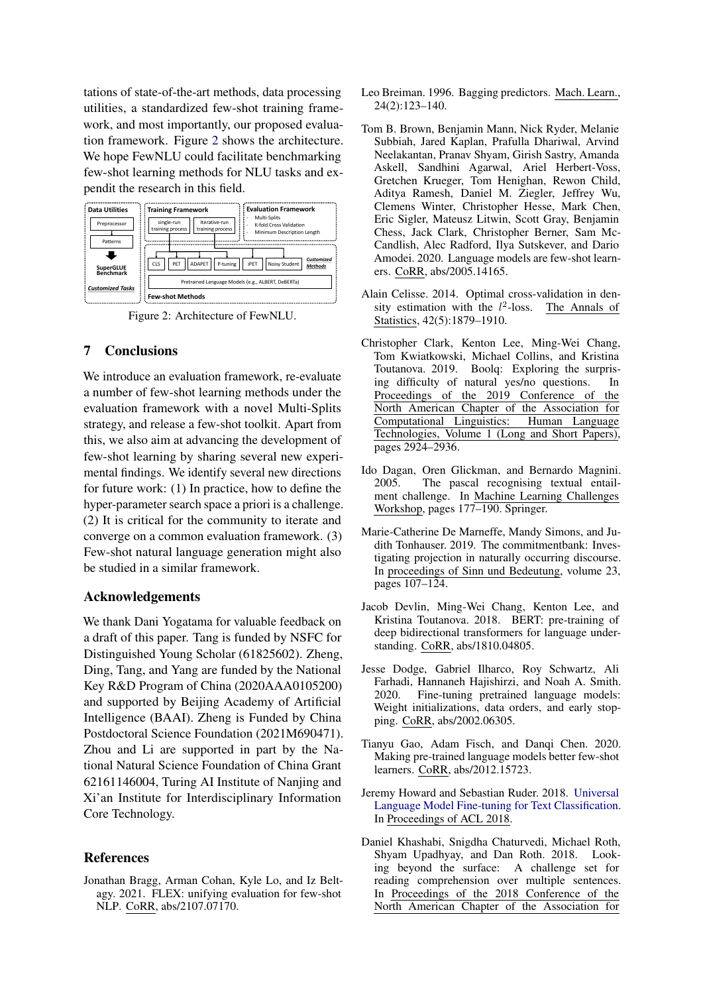tations of state-of-the-art methods, data processing utilities, a standardized few-shot training framework, and most importantly, our proposed evaluation framework. Figure [2](#page-8-8) shows the architecture. We hope FewNLU could facilitate benchmarking few-shot learning methods for NLU tasks and expendit the research in this field.

<span id="page-8-8"></span>

Figure 2: Architecture of FewNLU.

### 7 Conclusions

We introduce an evaluation framework, re-evaluate a number of few-shot learning methods under the evaluation framework with a novel Multi-Splits strategy, and release a few-shot toolkit. Apart from this, we also aim at advancing the development of few-shot learning by sharing several new experimental findings. We identify several new directions for future work: (1) In practice, how to define the hyper-parameter search space a priori is a challenge. (2) It is critical for the community to iterate and converge on a common evaluation framework. (3) Few-shot natural language generation might also be studied in a similar framework.

### Acknowledgements

We thank Dani Yogatama for valuable feedback on a draft of this paper. Tang is funded by NSFC for Distinguished Young Scholar (61825602). Zheng, Ding, Tang, and Yang are funded by the National Key R&D Program of China (2020AAA0105200) and supported by Beijing Academy of Artificial Intelligence (BAAI). Zheng is Funded by China Postdoctoral Science Foundation (2021M690471). Zhou and Li are supported in part by the National Natural Science Foundation of China Grant 62161146004, Turing AI Institute of Nanjing and Xi'an Institute for Interdisciplinary Information Core Technology.

### References

<span id="page-8-5"></span>Jonathan Bragg, Arman Cohan, Kyle Lo, and Iz Beltagy. 2021. FLEX: unifying evaluation for few-shot NLP. CoRR, abs/2107.07170.

- <span id="page-8-6"></span>Leo Breiman. 1996. Bagging predictors. Mach. Learn., 24(2):123–140.
- <span id="page-8-0"></span>Tom B. Brown, Benjamin Mann, Nick Ryder, Melanie Subbiah, Jared Kaplan, Prafulla Dhariwal, Arvind Neelakantan, Pranav Shyam, Girish Sastry, Amanda Askell, Sandhini Agarwal, Ariel Herbert-Voss, Gretchen Krueger, Tom Henighan, Rewon Child, Aditya Ramesh, Daniel M. Ziegler, Jeffrey Wu, Clemens Winter, Christopher Hesse, Mark Chen, Eric Sigler, Mateusz Litwin, Scott Gray, Benjamin Chess, Jack Clark, Christopher Berner, Sam Mc-Candlish, Alec Radford, Ilya Sutskever, and Dario Amodei. 2020. Language models are few-shot learners. CoRR, abs/2005.14165.
- <span id="page-8-7"></span>Alain Celisse. 2014. Optimal cross-validation in density estimation with the  $l^2$ The Annals of Statistics, 42(5):1879–1910.
- <span id="page-8-9"></span>Christopher Clark, Kenton Lee, Ming-Wei Chang, Tom Kwiatkowski, Michael Collins, and Kristina Toutanova. 2019. Boolq: Exploring the surprising difficulty of natural yes/no questions. In Proceedings of the 2019 Conference of the North American Chapter of the Association for<br>Computational Linguistics: Human Language Computational Linguistics: Technologies, Volume 1 (Long and Short Papers), pages 2924–2936.
- <span id="page-8-12"></span>Ido Dagan, Oren Glickman, and Bernardo Magnini. 2005. The pascal recognising textual entailment challenge. In Machine Learning Challenges Workshop, pages 177–190. Springer.
- <span id="page-8-11"></span>Marie-Catherine De Marneffe, Mandy Simons, and Judith Tonhauser. 2019. The commitmentbank: Investigating projection in naturally occurring discourse. In proceedings of Sinn und Bedeutung, volume 23, pages 107–124.
- <span id="page-8-4"></span>Jacob Devlin, Ming-Wei Chang, Kenton Lee, and Kristina Toutanova. 2018. BERT: pre-training of deep bidirectional transformers for language understanding. CoRR, abs/1810.04805.
- <span id="page-8-2"></span>Jesse Dodge, Gabriel Ilharco, Roy Schwartz, Ali Farhadi, Hannaneh Hajishirzi, and Noah A. Smith. 2020. Fine-tuning pretrained language models: Weight initializations, data orders, and early stopping. CoRR, abs/2002.06305.
- <span id="page-8-1"></span>Tianyu Gao, Adam Fisch, and Danqi Chen. 2020. Making pre-trained language models better few-shot learners. CoRR, abs/2012.15723.
- <span id="page-8-3"></span>Jeremy Howard and Sebastian Ruder. 2018. [Universal](http://arxiv.org/abs/1801.06146) [Language Model Fine-tuning for Text Classification.](http://arxiv.org/abs/1801.06146) In Proceedings of ACL 2018.
- <span id="page-8-10"></span>Daniel Khashabi, Snigdha Chaturvedi, Michael Roth, Shyam Upadhyay, and Dan Roth. 2018. Looking beyond the surface: A challenge set for reading comprehension over multiple sentences. In Proceedings of the 2018 Conference of the North American Chapter of the Association for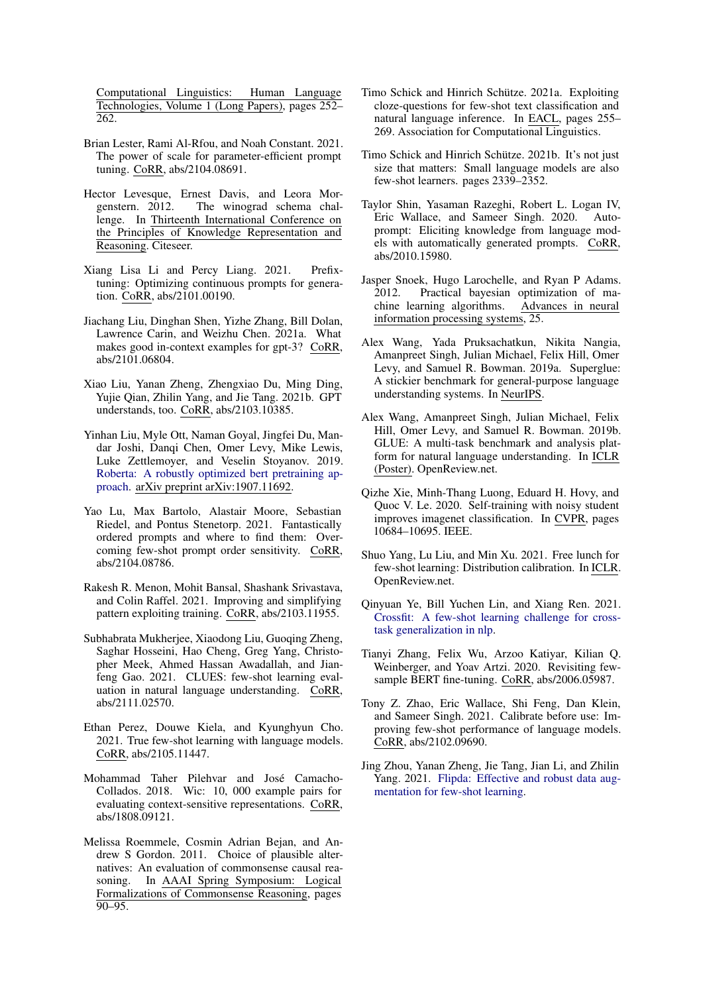Computational Linguistics: Human Language Technologies, Volume 1 (Long Papers), pages 252– 262.

- <span id="page-9-8"></span>Brian Lester, Rami Al-Rfou, and Noah Constant. 2021. The power of scale for parameter-efficient prompt tuning. CoRR, abs/2104.08691.
- <span id="page-9-23"></span>Hector Levesque, Ernest Davis, and Leora Morgenstern. 2012. The winograd schema challenge. In Thirteenth International Conference on the Principles of Knowledge Representation and Reasoning. Citeseer.
- <span id="page-9-7"></span>Xiang Lisa Li and Percy Liang. 2021. Prefixtuning: Optimizing continuous prompts for generation. CoRR, abs/2101.00190.
- <span id="page-9-11"></span>Jiachang Liu, Dinghan Shen, Yizhe Zhang, Bill Dolan, Lawrence Carin, and Weizhu Chen. 2021a. What makes good in-context examples for gpt-3? CoRR, abs/2101.06804.
- <span id="page-9-2"></span>Xiao Liu, Yanan Zheng, Zhengxiao Du, Ming Ding, Yujie Qian, Zhilin Yang, and Jie Tang. 2021b. GPT understands, too. CoRR, abs/2103.10385.
- <span id="page-9-18"></span>Yinhan Liu, Myle Ott, Naman Goyal, Jingfei Du, Mandar Joshi, Danqi Chen, Omer Levy, Mike Lewis, Luke Zettlemoyer, and Veselin Stoyanov. 2019. [Roberta: A robustly optimized bert pretraining ap](https://openreview.net/pdf?id=SyxS0T4tvS)[proach.](https://openreview.net/pdf?id=SyxS0T4tvS) arXiv preprint arXiv:1907.11692.
- <span id="page-9-12"></span>Yao Lu, Max Bartolo, Alastair Moore, Sebastian Riedel, and Pontus Stenetorp. 2021. Fantastically ordered prompts and where to find them: Overcoming few-shot prompt order sensitivity. CoRR, abs/2104.08786.
- <span id="page-9-3"></span>Rakesh R. Menon, Mohit Bansal, Shashank Srivastava, and Colin Raffel. 2021. Improving and simplifying pattern exploiting training. CoRR, abs/2103.11955.
- <span id="page-9-14"></span>Subhabrata Mukherjee, Xiaodong Liu, Guoqing Zheng, Saghar Hosseini, Hao Cheng, Greg Yang, Christopher Meek, Ahmed Hassan Awadallah, and Jianfeng Gao. 2021. CLUES: few-shot learning evaluation in natural language understanding. CoRR, abs/2111.02570.
- <span id="page-9-4"></span>Ethan Perez, Douwe Kiela, and Kyunghyun Cho. 2021. True few-shot learning with language models. CoRR, abs/2105.11447.
- <span id="page-9-21"></span>Mohammad Taher Pilehvar and José Camacho-Collados. 2018. Wic: 10, 000 example pairs for evaluating context-sensitive representations. CoRR, abs/1808.09121.
- <span id="page-9-22"></span>Melissa Roemmele, Cosmin Adrian Bejan, and Andrew S Gordon. 2011. Choice of plausible alternatives: An evaluation of commonsense causal reasoning. In AAAI Spring Symposium: Logical Formalizations of Commonsense Reasoning, pages  $90 - 95.$
- <span id="page-9-0"></span>Timo Schick and Hinrich Schütze. 2021a. Exploiting cloze-questions for few-shot text classification and natural language inference. In EACL, pages 255– 269. Association for Computational Linguistics.
- <span id="page-9-1"></span>Timo Schick and Hinrich Schütze. 2021b. It's not just size that matters: Small language models are also few-shot learners. pages 2339–2352.
- <span id="page-9-6"></span>Taylor Shin, Yasaman Razeghi, Robert L. Logan IV, Eric Wallace, and Sameer Singh. 2020. Autoprompt: Eliciting knowledge from language models with automatically generated prompts. CoRR, abs/2010.15980.
- <span id="page-9-15"></span>Jasper Snoek, Hugo Larochelle, and Ryan P Adams. 2012. Practical bayesian optimization of machine learning algorithms. Advances in neural information processing systems, 25.
- <span id="page-9-19"></span>Alex Wang, Yada Pruksachatkun, Nikita Nangia, Amanpreet Singh, Julian Michael, Felix Hill, Omer Levy, and Samuel R. Bowman. 2019a. Superglue: A stickier benchmark for general-purpose language understanding systems. In NeurIPS.
- <span id="page-9-20"></span>Alex Wang, Amanpreet Singh, Julian Michael, Felix Hill, Omer Levy, and Samuel R. Bowman. 2019b. GLUE: A multi-task benchmark and analysis platform for natural language understanding. In ICLR (Poster). OpenReview.net.
- <span id="page-9-17"></span>Qizhe Xie, Minh-Thang Luong, Eduard H. Hovy, and Quoc V. Le. 2020. Self-training with noisy student improves imagenet classification. In CVPR, pages 10684–10695. IEEE.
- <span id="page-9-9"></span>Shuo Yang, Lu Liu, and Min Xu. 2021. Free lunch for few-shot learning: Distribution calibration. In ICLR. OpenReview.net.
- <span id="page-9-13"></span>Qinyuan Ye, Bill Yuchen Lin, and Xiang Ren. 2021. [Crossfit: A few-shot learning challenge for cross](http://arxiv.org/abs/2104.08835)[task generalization in nlp.](http://arxiv.org/abs/2104.08835)
- <span id="page-9-5"></span>Tianyi Zhang, Felix Wu, Arzoo Katiyar, Kilian Q. Weinberger, and Yoav Artzi. 2020. Revisiting fewsample BERT fine-tuning. CoRR, abs/2006.05987.
- <span id="page-9-10"></span>Tony Z. Zhao, Eric Wallace, Shi Feng, Dan Klein, and Sameer Singh. 2021. Calibrate before use: Improving few-shot performance of language models. CoRR, abs/2102.09690.
- <span id="page-9-16"></span>Jing Zhou, Yanan Zheng, Jie Tang, Jian Li, and Zhilin Yang. 2021. [Flipda: Effective and robust data aug](http://arxiv.org/abs/2108.06332)[mentation for few-shot learning.](http://arxiv.org/abs/2108.06332)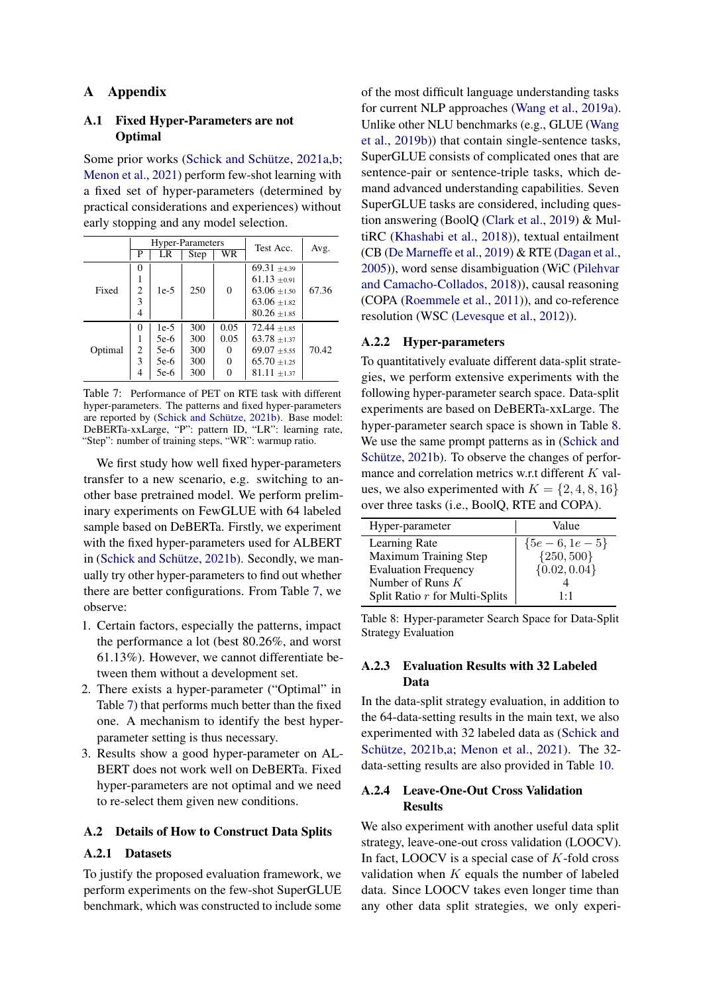## A Appendix

### <span id="page-10-0"></span>A.1 Fixed Hyper-Parameters are not **Optimal**

Some prior works [\(Schick and Schütze,](#page-9-0) [2021a,](#page-9-0)[b;](#page-9-1) [Menon et al.,](#page-9-3) [2021\)](#page-9-3) perform few-shot learning with a fixed set of hyper-parameters (determined by practical considerations and experiences) without early stopping and any model selection.

<span id="page-10-3"></span>

|         |          |        | Hyper-Parameters | Test Acc.              | Avg.             |       |
|---------|----------|--------|------------------|------------------------|------------------|-------|
|         | P        | LR     | Step             | $\overline{\text{WR}}$ |                  |       |
|         | 0        |        |                  |                        | $69.31 + 4.39$   |       |
|         |          |        | 250              | $\overline{0}$         | $61.13 \pm 0.91$ |       |
| Fixed   | 2        | $1e-5$ |                  |                        | $63.06 \pm 1.50$ | 67.36 |
|         | 3        |        |                  |                        | $63.06 \pm 1.82$ |       |
|         | 4        |        |                  |                        | $80.26 \pm 1.85$ |       |
|         | $\Omega$ | $1e-5$ | 300              | 0.05                   | $72.44 \pm 1.85$ |       |
|         | 1        | 5e-6   | 300              | 0.05                   | $63.78 \pm 1.37$ |       |
| Optimal | 2        | 5e-6   | 300              | 0                      | $69.07 + 5.55$   | 70.42 |
|         | 3        | 5e-6   | 300              | 0                      | $65.70 \pm 1.25$ |       |
|         | 4        | 5e-6   | 300              |                        | $81.11 \pm 1.37$ |       |

Table 7: Performance of PET on RTE task with different hyper-parameters. The patterns and fixed hyper-parameters are reported by [\(Schick and Schütze,](#page-9-1) [2021b\)](#page-9-1). Base model: DeBERTa-xxLarge, "P": pattern ID, "LR": learning rate, "Step": number of training steps, "WR": warmup ratio.

We first study how well fixed hyper-parameters transfer to a new scenario, e.g. switching to another base pretrained model. We perform preliminary experiments on FewGLUE with 64 labeled sample based on DeBERTa. Firstly, we experiment with the fixed hyper-parameters used for ALBERT in [\(Schick and Schütze,](#page-9-1) [2021b\)](#page-9-1). Secondly, we manually try other hyper-parameters to find out whether there are better configurations. From Table [7,](#page-10-3) we observe:

- 1. Certain factors, especially the patterns, impact the performance a lot (best 80.26%, and worst 61.13%). However, we cannot differentiate between them without a development set.
- 2. There exists a hyper-parameter ("Optimal" in Table [7\)](#page-10-3) that performs much better than the fixed one. A mechanism to identify the best hyperparameter setting is thus necessary.
- 3. Results show a good hyper-parameter on AL-BERT does not work well on DeBERTa. Fixed hyper-parameters are not optimal and we need to re-select them given new conditions.

## <span id="page-10-2"></span>A.2 Details of How to Construct Data Splits

### A.2.1 Datasets

To justify the proposed evaluation framework, we perform experiments on the few-shot SuperGLUE benchmark, which was constructed to include some of the most difficult language understanding tasks for current NLP approaches [\(Wang et al.,](#page-9-19) [2019a\)](#page-9-19). Unlike other NLU benchmarks (e.g., GLUE [\(Wang](#page-9-20) [et al.,](#page-9-20) [2019b\)](#page-9-20)) that contain single-sentence tasks, SuperGLUE consists of complicated ones that are sentence-pair or sentence-triple tasks, which demand advanced understanding capabilities. Seven SuperGLUE tasks are considered, including question answering (BoolQ [\(Clark et al.,](#page-8-9) [2019\)](#page-8-9) & MultiRC [\(Khashabi et al.,](#page-8-10) [2018\)](#page-8-10)), textual entailment (CB [\(De Marneffe et al.,](#page-8-11) [2019\)](#page-8-11) & RTE [\(Dagan et al.,](#page-8-12) [2005\)](#page-8-12)), word sense disambiguation (WiC [\(Pilehvar](#page-9-21) [and Camacho-Collados,](#page-9-21) [2018\)](#page-9-21)), causal reasoning (COPA [\(Roemmele et al.,](#page-9-22) [2011\)](#page-9-22)), and co-reference resolution (WSC [\(Levesque et al.,](#page-9-23) [2012\)](#page-9-23)).

### A.2.2 Hyper-parameters

To quantitatively evaluate different data-split strategies, we perform extensive experiments with the following hyper-parameter search space. Data-split experiments are based on DeBERTa-xxLarge. The hyper-parameter search space is shown in Table [8.](#page-10-4) We use the same prompt patterns as in [\(Schick and](#page-9-1) [Schütze,](#page-9-1) [2021b\)](#page-9-1). To observe the changes of performance and correlation metrics w.r.t different  $K$  values, we also experimented with  $K = \{2, 4, 8, 16\}$ over three tasks (i.e., BoolQ, RTE and COPA).

<span id="page-10-4"></span>

| Hyper-parameter                | Value            |
|--------------------------------|------------------|
| Learning Rate                  | ${5e-6, 1e-5}$   |
| Maximum Training Step          | ${250, 500}$     |
| <b>Evaluation Frequency</b>    | $\{0.02, 0.04\}$ |
| Number of Runs $K$             |                  |
| Split Ratio r for Multi-Splits | 1.1              |

Table 8: Hyper-parameter Search Space for Data-Split Strategy Evaluation

## A.2.3 Evaluation Results with 32 Labeled Data

In the data-split strategy evaluation, in addition to the 64-data-setting results in the main text, we also experimented with 32 labeled data as [\(Schick and](#page-9-1) [Schütze,](#page-9-1) [2021b,](#page-9-1)[a;](#page-9-0) [Menon et al.,](#page-9-3) [2021\)](#page-9-3). The 32 data-setting results are also provided in Table [10.](#page-12-0)

## <span id="page-10-1"></span>A.2.4 Leave-One-Out Cross Validation **Results**

We also experiment with another useful data split strategy, leave-one-out cross validation (LOOCV). In fact, LOOCV is a special case of  $K$ -fold cross validation when  $K$  equals the number of labeled data. Since LOOCV takes even longer time than any other data split strategies, we only experi-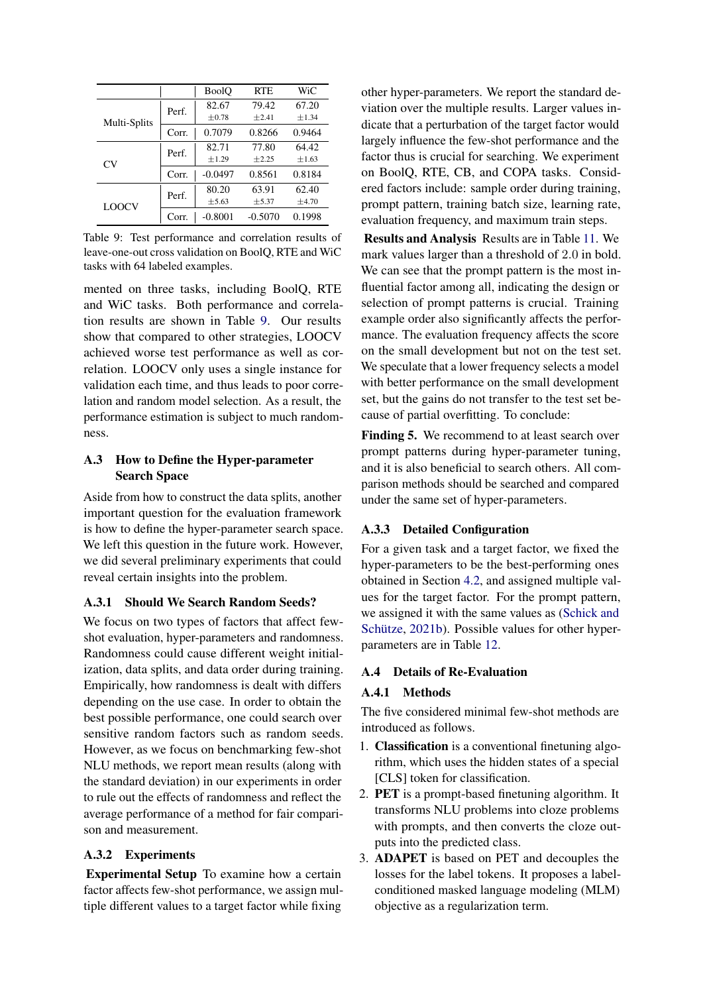<span id="page-11-1"></span>

|              |       | <b>BoolO</b> | <b>RTE</b> | WiC        |
|--------------|-------|--------------|------------|------------|
|              | Perf. | 82.67        | 79.42      | 67.20      |
| Multi-Splits |       | $\pm 0.78$   | $+2.41$    | ±1.34      |
|              | Corr. | 0.7079       | 0.8266     | 0.9464     |
|              | Perf. | 82.71        | 77.80      | 64.42      |
| CV.          |       | $\pm 1.29$   | $+2.25$    | $\pm 1.63$ |
|              | Corr. | $-0.0497$    | 0.8561     | 0.8184     |
|              | Perf. | 80.20        | 63.91      | 62.40      |
| <b>LOOCV</b> |       | $\pm$ 5.63   | $\pm$ 5.37 | ±4.70      |
|              | Corr. | $-0.8001$    | $-0.5070$  | 0.1998     |

Table 9: Test performance and correlation results of leave-one-out cross validation on BoolQ, RTE and WiC tasks with 64 labeled examples.

mented on three tasks, including BoolQ, RTE and WiC tasks. Both performance and correlation results are shown in Table [9.](#page-11-1) Our results show that compared to other strategies, LOOCV achieved worse test performance as well as correlation. LOOCV only uses a single instance for validation each time, and thus leads to poor correlation and random model selection. As a result, the performance estimation is subject to much randomness.

## A.3 How to Define the Hyper-parameter Search Space

Aside from how to construct the data splits, another important question for the evaluation framework is how to define the hyper-parameter search space. We left this question in the future work. However, we did several preliminary experiments that could reveal certain insights into the problem.

## A.3.1 Should We Search Random Seeds?

We focus on two types of factors that affect fewshot evaluation, hyper-parameters and randomness. Randomness could cause different weight initialization, data splits, and data order during training. Empirically, how randomness is dealt with differs depending on the use case. In order to obtain the best possible performance, one could search over sensitive random factors such as random seeds. However, as we focus on benchmarking few-shot NLU methods, we report mean results (along with the standard deviation) in our experiments in order to rule out the effects of randomness and reflect the average performance of a method for fair comparison and measurement.

# A.3.2 Experiments

Experimental Setup To examine how a certain factor affects few-shot performance, we assign multiple different values to a target factor while fixing

other hyper-parameters. We report the standard deviation over the multiple results. Larger values indicate that a perturbation of the target factor would largely influence the few-shot performance and the factor thus is crucial for searching. We experiment on BoolQ, RTE, CB, and COPA tasks. Considered factors include: sample order during training, prompt pattern, training batch size, learning rate, evaluation frequency, and maximum train steps.

Results and Analysis Results are in Table [11.](#page-12-1) We mark values larger than a threshold of 2.0 in bold. We can see that the prompt pattern is the most influential factor among all, indicating the design or selection of prompt patterns is crucial. Training example order also significantly affects the performance. The evaluation frequency affects the score on the small development but not on the test set. We speculate that a lower frequency selects a model with better performance on the small development set, but the gains do not transfer to the test set because of partial overfitting. To conclude:

Finding 5. We recommend to at least search over prompt patterns during hyper-parameter tuning, and it is also beneficial to search others. All comparison methods should be searched and compared under the same set of hyper-parameters.

# A.3.3 Detailed Configuration

For a given task and a target factor, we fixed the hyper-parameters to be the best-performing ones obtained in Section [4.2,](#page-2-0) and assigned multiple values for the target factor. For the prompt pattern, we assigned it with the same values as [\(Schick and](#page-9-1) [Schütze,](#page-9-1) [2021b\)](#page-9-1). Possible values for other hyperparameters are in Table [12.](#page-12-2)

# <span id="page-11-0"></span>A.4 Details of Re-Evaluation

# A.4.1 Methods

The five considered minimal few-shot methods are introduced as follows.

- 1. Classification is a conventional finetuning algorithm, which uses the hidden states of a special [CLS] token for classification.
- 2. PET is a prompt-based finetuning algorithm. It transforms NLU problems into cloze problems with prompts, and then converts the cloze outputs into the predicted class.
- 3. ADAPET is based on PET and decouples the losses for the label tokens. It proposes a labelconditioned masked language modeling (MLM) objective as a regularization term.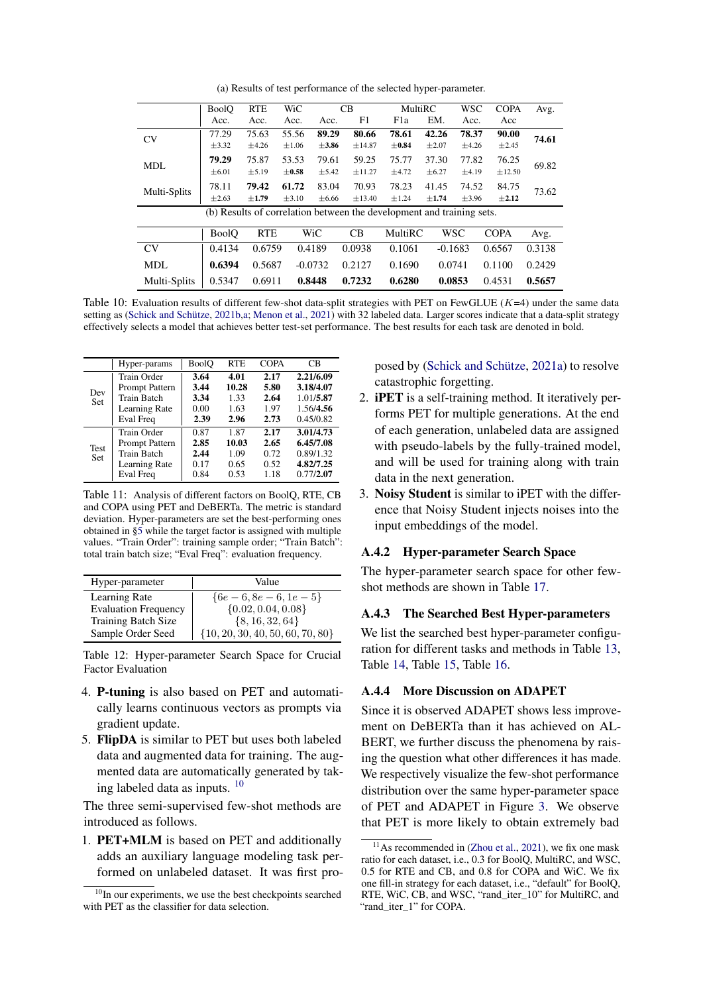(a) Results of test performance of the selected hyper-parameter.

<span id="page-12-0"></span>

|              | <b>BoolQ</b> | <b>RTE</b> | WiC        |            | C <sub>B</sub>                                                        | MultiRC    |            | <b>WSC</b> | <b>COPA</b> | Avg.   |
|--------------|--------------|------------|------------|------------|-----------------------------------------------------------------------|------------|------------|------------|-------------|--------|
|              | Acc.         | Acc.       | Acc.       | Acc.       | F1                                                                    | F1a        | EM.        | Acc.       | Acc         |        |
| <b>CV</b>    | 77.29        | 75.63      | 55.56      | 89.29      | 80.66                                                                 | 78.61      | 42.26      | 78.37      | 90.00       | 74.61  |
|              | $\pm$ 3.32   | $\pm 4.26$ | $\pm 1.06$ | $\pm 3.86$ | ±14.87                                                                | $\pm$ 0.84 | $\pm 2.07$ | $\pm 4.26$ | ±2.45       |        |
|              | 79.29        | 75.87      | 53.53      | 79.61      | 59.25                                                                 | 75.77      | 37.30      | 77.82      | 76.25       |        |
| <b>MDL</b>   | $\pm 6.01$   | ± 5.19     | $\pm 0.58$ | $\pm$ 5.42 | ±11.27                                                                | ±4.72      | $\pm 6.27$ | $\pm 4.19$ | ±12.50      | 69.82  |
|              | 78.11        | 79.42      | 61.72      | 83.04      | 70.93                                                                 | 78.23      | 41.45      | 74.52      | 84.75       |        |
| Multi-Splits | $\pm 2.63$   | $\pm 1.79$ | $\pm 3.10$ | ±6.66      | ±13.40                                                                | $\pm 1.24$ | $\pm 1.74$ | $\pm$ 3.96 | $\pm 2.12$  | 73.62  |
|              |              |            |            |            | (b) Results of correlation between the development and training sets. |            |            |            |             |        |
|              |              |            |            |            |                                                                       |            |            |            |             |        |
|              | <b>BoolO</b> | <b>RTE</b> |            | WiC        | CB                                                                    | MultiRC    |            | <b>WSC</b> | <b>COPA</b> | Avg.   |
| <b>CV</b>    | 0.4134       | 0.6759     |            | 0.4189     | 0.0938                                                                | 0.1061     | $-0.1683$  |            | 0.6567      | 0.3138 |
| <b>MDL</b>   | 0.6394       | 0.5687     |            | $-0.0732$  | 0.2127                                                                | 0.1690     | 0.0741     |            | 0.1100      | 0.2429 |
| Multi-Splits | 0.5347       | 0.6911     |            | 0.8448     | 0.7232                                                                | 0.6280     | 0.0853     |            | 0.4531      | 0.5657 |

Table 10: Evaluation results of different few-shot data-split strategies with PET on FewGLUE  $(K=4)$  under the same data setting as [\(Schick and Schütze,](#page-9-1) [2021b,](#page-9-1)[a;](#page-9-0) [Menon et al.,](#page-9-3) [2021\)](#page-9-3) with 32 labeled data. Larger scores indicate that a data-split strategy effectively selects a model that achieves better test-set performance. The best results for each task are denoted in bold.

<span id="page-12-1"></span>

|                    | Hyper-params                                                                      | BoolO                                | <b>RTE</b>                            | <b>COPA</b>                          | CВ                                                            |
|--------------------|-----------------------------------------------------------------------------------|--------------------------------------|---------------------------------------|--------------------------------------|---------------------------------------------------------------|
| Dev<br><b>Set</b>  | Train Order<br>Prompt Pattern<br><b>Train Batch</b><br>Learning Rate<br>Eval Freq | 3.64<br>3.44<br>3.34<br>0.00<br>2.39 | 4.01<br>10.28<br>1.33<br>1.63<br>2.96 | 2.17<br>5.80<br>2.64<br>1.97<br>2.73 | 2.21/6.09<br>3.18/4.07<br>1.01/5.87<br>1.56/4.56<br>0.45/0.82 |
| Test<br><b>Set</b> | Train Order<br>Prompt Pattern<br>Train Batch<br>Learning Rate<br>Eval Freq        | 0.87<br>2.85<br>2.44<br>0.17<br>0.84 | 1.87<br>10.03<br>1.09<br>0.65<br>0.53 | 2.17<br>2.65<br>0.72<br>0.52<br>1.18 | 3.01/4.73<br>6.45/7.08<br>0.89/1.32<br>4.82/7.25<br>0.77/2.07 |

Table 11: Analysis of different factors on BoolQ, RTE, CB and COPA using PET and DeBERTa. The metric is standard deviation. Hyper-parameters are set the best-performing ones obtained in [§5](#page-5-3) while the target factor is assigned with multiple values. "Train Order": training sample order; "Train Batch": total train batch size; "Eval Freq": evaluation frequency.

<span id="page-12-2"></span>

| Hyper-parameter             | Value                                |
|-----------------------------|--------------------------------------|
| Learning Rate               | ${6e-6, 8e-6, 1e-5}$                 |
| <b>Evaluation Frequency</b> | $\{0.02, 0.04, 0.08\}$               |
| <b>Training Batch Size</b>  | ${8, 16, 32, 64}$                    |
| Sample Order Seed           | $\{10, 20, 30, 40, 50, 60, 70, 80\}$ |

Table 12: Hyper-parameter Search Space for Crucial Factor Evaluation

- 4. P-tuning is also based on PET and automatically learns continuous vectors as prompts via gradient update.
- 5. FlipDA is similar to PET but uses both labeled data and augmented data for training. The augmented data are automatically generated by taking labeled data as inputs. [10](#page-12-3)

The three semi-supervised few-shot methods are introduced as follows.

1. PET+MLM is based on PET and additionally adds an auxiliary language modeling task performed on unlabeled dataset. It was first proposed by [\(Schick and Schütze,](#page-9-0) [2021a\)](#page-9-0) to resolve catastrophic forgetting.

- 2. iPET is a self-training method. It iteratively performs PET for multiple generations. At the end of each generation, unlabeled data are assigned with pseudo-labels by the fully-trained model, and will be used for training along with train data in the next generation.
- 3. Noisy Student is similar to iPET with the difference that Noisy Student injects noises into the input embeddings of the model.

#### A.4.2 Hyper-parameter Search Space

The hyper-parameter search space for other fewshot methods are shown in Table [17.](#page-14-0)

#### A.4.3 The Searched Best Hyper-parameters

We list the searched best hyper-parameter configuration for different tasks and methods in Table [13,](#page-13-0) Table [14,](#page-13-1) Table [15,](#page-13-2) Table [16.](#page-13-3)

#### A.4.4 More Discussion on ADAPET

Since it is observed ADAPET shows less improvement on DeBERTa than it has achieved on AL-BERT, we further discuss the phenomena by raising the question what other differences it has made. We respectively visualize the few-shot performance distribution over the same hyper-parameter space of PET and ADAPET in Figure [3.](#page-15-0) We observe that PET is more likely to obtain extremely bad

<span id="page-12-3"></span> $10$ In our experiments, we use the best checkpoints searched with PET as the classifier for data selection.

<span id="page-12-4"></span> $11$ As recommended in [\(Zhou et al.,](#page-9-16) [2021\)](#page-9-16), we fix one mask ratio for each dataset, i.e., 0.3 for BoolQ, MultiRC, and WSC, 0.5 for RTE and CB, and 0.8 for COPA and WiC. We fix one fill-in strategy for each dataset, i.e., "default" for BoolQ, RTE, WiC, CB, and WSC, "rand\_iter\_10" for MultiRC, and "rand\_iter\_1" for COPA.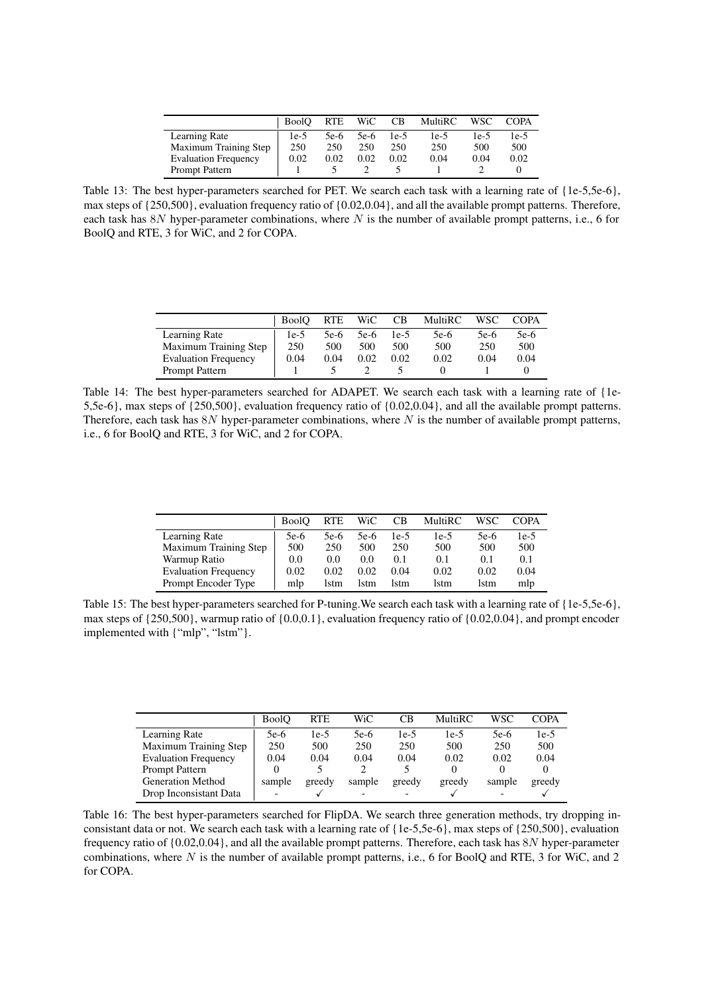|                             | <b>BoolO</b> | <b>RTE</b> | WiC    | CB     | MultiRC | <b>WSC</b> | <b>COPA</b> |
|-----------------------------|--------------|------------|--------|--------|---------|------------|-------------|
| Learning Rate               | 1e-5         | 5e-6       | $5e-6$ | $1e-5$ | $1e-5$  | 1e-5       | $1e-5$      |
| Maximum Training Step       | 250          | 250        | 250    | 250    | 250     | 500        | 500         |
| <b>Evaluation Frequency</b> | 0.02         | 0.02       | 0.02   | 0.02   | 0.04    | 0.04       | 0.02        |
| <b>Prompt Pattern</b>       |              |            |        |        |         |            |             |

<span id="page-13-0"></span>Table 13: The best hyper-parameters searched for PET. We search each task with a learning rate of {1e-5,5e-6}, max steps of {250,500}, evaluation frequency ratio of {0.02,0.04}, and all the available prompt patterns. Therefore, each task has  $8N$  hyper-parameter combinations, where N is the number of available prompt patterns, i.e., 6 for BoolQ and RTE, 3 for WiC, and 2 for COPA.

<span id="page-13-1"></span>

|                             | <b>BoolO</b> | <b>RTE</b> | WiC  | <b>CB</b> | <b>MultiRC</b> | WSC    | COPA   |
|-----------------------------|--------------|------------|------|-----------|----------------|--------|--------|
| Learning Rate               | $1e-5$       | 5e-6       | 5e-6 | $1e-5$    | 5e-6           | $5e-6$ | $5e-6$ |
| Maximum Training Step       | 250          | 500        | 500  | 500       | 500            | 250    | 500    |
| <b>Evaluation Frequency</b> | 0.04         | 0.04       | 0.02 | 0.02      | 0.02           | 0.04   | 0.04   |
| <b>Prompt Pattern</b>       |              |            |      |           |                |        |        |

Table 14: The best hyper-parameters searched for ADAPET. We search each task with a learning rate of {1e-5,5e-6}, max steps of {250,500}, evaluation frequency ratio of {0.02,0.04}, and all the available prompt patterns. Therefore, each task has  $8N$  hyper-parameter combinations, where N is the number of available prompt patterns, i.e., 6 for BoolQ and RTE, 3 for WiC, and 2 for COPA.

<span id="page-13-2"></span>

|                             | <b>BoolO</b> | RTE  | WiC  | CВ   | MultiRC | WSC  | COPA   |
|-----------------------------|--------------|------|------|------|---------|------|--------|
| Learning Rate               | $5e-6$       | 5e-6 | 5e-6 | 1e-5 | $1e-5$  | 5e-6 | $1e-5$ |
| Maximum Training Step       | 500          | 250  | 500  | 250  | 500     | 500  | 500    |
| Warmup Ratio                | 0.0          | 0.0  | 0.0  | 0.1  | 0.1     | 0.1  | 0.1    |
| <b>Evaluation Frequency</b> | 0.02         | 0.02 | 0.02 | 0.04 | 0.02    | 0.02 | 0.04   |
| Prompt Encoder Type         | mlp          | lstm | lstm | lstm | lstm    | lstm | mlp    |

Table 15: The best hyper-parameters searched for P-tuning.We search each task with a learning rate of {1e-5,5e-6}, max steps of  $\{250,500\}$ , warmup ratio of  $\{0.0,0.1\}$ , evaluation frequency ratio of  $\{0.02,0.04\}$ , and prompt encoder implemented with {"mlp", "lstm"}.

<span id="page-13-3"></span>

|                             | <b>BoolO</b> | <b>RTE</b> | WiC    | CВ     | MultiRC | <b>WSC</b> | COPA   |
|-----------------------------|--------------|------------|--------|--------|---------|------------|--------|
| Learning Rate               | 5e-6         | 1e-5       | 5e-6   | $1e-5$ | $1e-5$  | $5e-6$     | $1e-5$ |
| Maximum Training Step       | 250          | 500        | 250    | 250    | 500     | 250        | 500    |
| <b>Evaluation Frequency</b> | 0.04         | 0.04       | 0.04   | 0.04   | 0.02    | 0.02       | 0.04   |
| Prompt Pattern              | $\theta$     |            |        |        |         |            |        |
| <b>Generation Method</b>    | sample       | greedy     | sample | greedy | greedy  | sample     | greedy |
| Drop Inconsistant Data      | -            |            | -      |        |         |            |        |

Table 16: The best hyper-parameters searched for FlipDA. We search three generation methods, try dropping inconsistant data or not. We search each task with a learning rate of {1e-5,5e-6}, max steps of {250,500}, evaluation frequency ratio of {0.02,0.04}, and all the available prompt patterns. Therefore, each task has 8N hyper-parameter combinations, where N is the number of available prompt patterns, i.e., 6 for BoolQ and RTE, 3 for WiC, and 2 for COPA.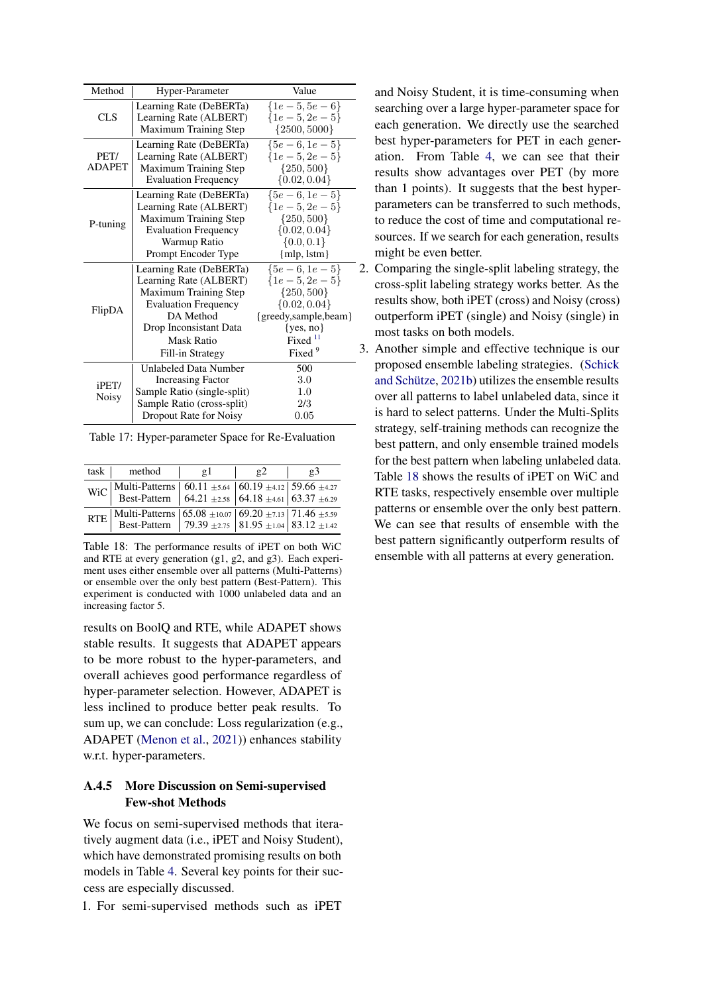<span id="page-14-0"></span>

| Method           | Hyper-Parameter              | Value                |   |  |
|------------------|------------------------------|----------------------|---|--|
|                  | Learning Rate (DeBERTa)      | $\{1e-5, 5e-6\}$     |   |  |
| <b>CLS</b>       | Learning Rate (ALBERT)       | $\{1e-5, 2e-5\}$     |   |  |
|                  | Maximum Training Step        | ${2500, 5000}$       |   |  |
|                  | Learning Rate (DeBERTa)      | ${5e-6, 1e-5}$       |   |  |
| PET/             | Learning Rate (ALBERT)       | $\{1e-5, 2e-5\}$     |   |  |
| <b>ADAPET</b>    | Maximum Training Step        | $\{250, 500\}$       |   |  |
|                  | <b>Evaluation Frequency</b>  | $\{0.02, 0.04\}$     |   |  |
|                  | Learning Rate (DeBERTa)      | ${5e-6, 1e-5}$       |   |  |
|                  | Learning Rate (ALBERT)       | $\{1e-5, 2e-5\}$     |   |  |
| P-tuning         | <b>Maximum Training Step</b> | $\{250, 500\}$       |   |  |
|                  | <b>Evaluation Frequency</b>  | $\{0.02, 0.04\}$     |   |  |
|                  | Warmup Ratio                 | $\{0.0, 0.1\}$       |   |  |
|                  | Prompt Encoder Type          | ${mlp, lstm}$        |   |  |
|                  | Learning Rate (DeBERTa)      | ${5e-6, 1e-5}$       |   |  |
|                  | Learning Rate (ALBERT)       | $\{1e-5, 2e-5\}$     |   |  |
|                  | <b>Maximum Training Step</b> | $\{250, 500\}$       |   |  |
| FlipDA           | <b>Evaluation Frequency</b>  | $\{0.02, 0.04\}$     |   |  |
|                  | DA Method                    | {greedy,sample,beam} |   |  |
|                  | Drop Inconsistant Data       | $\{yes, no\}$        |   |  |
|                  | Mask Ratio                   | Fixed <sup>11</sup>  |   |  |
|                  | Fill-in Strategy             | Fixed <sup>9</sup>   | 3 |  |
|                  | <b>Unlabeled Data Number</b> | 500                  |   |  |
| $i$ PET $\prime$ | <b>Increasing Factor</b>     | 3.0                  |   |  |
| Noisy            | Sample Ratio (single-split)  | 1.0                  |   |  |
|                  | Sample Ratio (cross-split)   | 2/3                  |   |  |
|                  | Dropout Rate for Noisy       | 0.05                 |   |  |

Table 17: Hyper-parameter Space for Re-Evaluation

<span id="page-14-1"></span>

| task                                      | method                                                                                                                                                                                                                                                    | $\mathfrak{g}$ 1 | $\mathbf{g}$ 2 | $\mathfrak{g}3$ |  |
|-------------------------------------------|-----------------------------------------------------------------------------------------------------------------------------------------------------------------------------------------------------------------------------------------------------------|------------------|----------------|-----------------|--|
|                                           | WiC Multi-Patterns $\begin{array}{ l c c c c c c c }\n\hline\n\text{Wic} & \text{Best-Pattern} & 60.11 \pm 5.64 & 60.19 \pm 4.12 & 59.66 \pm 4.27 \\ \hline\n\text{Best-Pattern} & 64.21 \pm 2.58 & 64.18 \pm 4.61 & 63.37 \pm 6.29\n\hline\n\end{array}$ |                  |                |                 |  |
| $RTE$ <sup><math>\frac{1}{2}</math></sup> | $\begin{array}{ l c c c c c } \hline \text{Multi-Patters} & 65.08 \pm 10.07 & 69.20 \pm 7.13 & 71.46 \pm 5.59 \\ \hline \text{Best-Pattern} & 79.39 \pm 2.75 & 81.95 \pm 1.04 & 83.12 \pm 1.42 \\ \hline \end{array}$                                     |                  |                |                 |  |

Table 18: The performance results of iPET on both WiC and RTE at every generation (g1, g2, and g3). Each experiment uses either ensemble over all patterns (Multi-Patterns) or ensemble over the only best pattern (Best-Pattern). This experiment is conducted with 1000 unlabeled data and an increasing factor 5.

results on BoolQ and RTE, while ADAPET shows stable results. It suggests that ADAPET appears to be more robust to the hyper-parameters, and overall achieves good performance regardless of hyper-parameter selection. However, ADAPET is less inclined to produce better peak results. To sum up, we can conclude: Loss regularization (e.g., ADAPET [\(Menon et al.,](#page-9-3) [2021\)](#page-9-3)) enhances stability w.r.t. hyper-parameters.

## A.4.5 More Discussion on Semi-supervised Few-shot Methods

We focus on semi-supervised methods that iteratively augment data (i.e., iPET and Noisy Student), which have demonstrated promising results on both models in Table [4.](#page-6-0) Several key points for their success are especially discussed.

1. For semi-supervised methods such as iPET

and Noisy Student, it is time-consuming when searching over a large hyper-parameter space for each generation. We directly use the searched best hyper-parameters for PET in each generation. From Table [4,](#page-6-0) we can see that their results show advantages over PET (by more than 1 points). It suggests that the best hyperparameters can be transferred to such methods, to reduce the cost of time and computational resources. If we search for each generation, results might be even better.

2. Comparing the single-split labeling strategy, the cross-split labeling strategy works better. As the results show, both iPET (cross) and Noisy (cross) outperform iPET (single) and Noisy (single) in most tasks on both models.

3. Another simple and effective technique is our proposed ensemble labeling strategies. [\(Schick](#page-9-1) [and Schütze,](#page-9-1) [2021b\)](#page-9-1) utilizes the ensemble results over all patterns to label unlabeled data, since it is hard to select patterns. Under the Multi-Splits strategy, self-training methods can recognize the best pattern, and only ensemble trained models for the best pattern when labeling unlabeled data. Table [18](#page-14-1) shows the results of iPET on WiC and RTE tasks, respectively ensemble over multiple patterns or ensemble over the only best pattern. We can see that results of ensemble with the best pattern significantly outperform results of ensemble with all patterns at every generation.